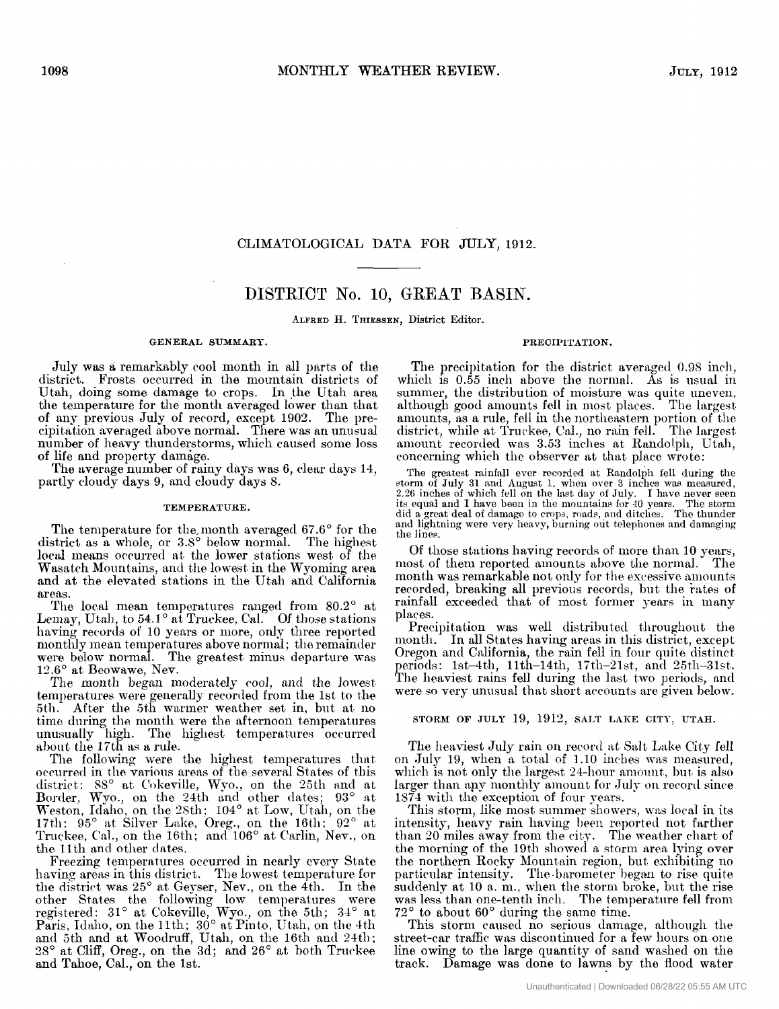### CLIMATOLOGICAL DATA FOR JULY, 1912.

## DISTRICT No. 10, GREAT BASIN.

**ALFRED H. THIESSEN,** District Editor.

#### **GENERAL SUMMARY**

July was a remarkably cool month in all parts of the district. Frosts occurred in the mountain districts of Utah, doing some damage to crops. In the Utah area the temperature for the month averaged lower than that of any previous July of record, except 1902. The precipitation averaged above normal. There was an unusual number of heavy thunderstorms, which caused some loss of life and property damage.

The average number of rainy days was 6, clear days 14, partly cloudy days 9, and cloudy days *8.* 

#### **TEMPERATURE.**

The temperature for the month averaged 67.6° for the district as a whole, or 3.8° below normal. The highest local means occurred at the lower stations west of the Wasatch Mountains, and the lowest in the Wyoming area and at the elevated stations in the Utah and California areas.

The local mean temperatures ranged from  $80.2^{\circ}$  at Lemay, Utah, to 54.1° at Truckee, Cal. Of those stations having records of 10 years or more, only three reported naving recents or 10 years or more, only affect reported 12.6° at Beowawe, Nev. were below normal. The greatest minus departure was

The month began moderately cool, and the lowest temperatures were generally recorded from the 1st to the 5th. After the 5th warmer weather set in, but at no time during the month were the afternoon temperatures unusually high. The highest temperatures occurred ahoiit the 17th **tis** a rule.

The following were the highest temperatures that occurred in the various areas of the several States of this district:  $88^\circ$  at Cokeville, Wyo., on the 25th and at Border, Wyo., on the 24th and other dates; 93° at Weston, Idaho, on the 28th; 104° at Low, Utah, on the 17th: 95° at Silver Lake, Oreg., on the 16th; 92° at Truckee, Cal., on the 16th; and 106° at Carlin, Nev., on the 11th and other dates.

Freezing temperatures occurred in nearly every State having areas in this district. The lowest temperature for the district was 25° at Geyser, Nev., on the 4th. In the other States the following low temperatures mere regi\tered: 31" at Cokeville, wyo., on the **5th;** 34" at Paris, Idaho, on the 11th;  $30^{\circ}$  at Pinto, Utah, on the 4th and 5th and at Woodruff, Utah, on the 16th and 24th; 28° at Cliff, Oreg., on the 3d; and 26° at both Truckee and Tahoe, Cal., on the 1st.

The precipitation for the district averaged 0.98 inch. which is 0.55 inch above the normal. As is usual in summer, the distribution of moisture was quite uneven, although good amounts fell in most places. The largest amounts, as a rule, fell in the northeastern portion of the district, while at Truckee, Cal., no rain fell. The largest amount recorded was 3.53 inches at Randolph, Utah, concerning which the observer at that place wrote:

PRECIPITATION.

The greatest rainfall ever recorded at Randolph fell during the storm of July 31 and August 1. when over 3 inches was measured, 2.26 inches of which fell on the last day of July. I have never seen<br>its equal and I have been in the mountains for 40 years. The storm<br>did a great deal of damage to crops, roads, and ditches. The thunder and lightning were very heavy, burning out telephones and damaging the lines.

Of those stations having records of more than 10 years, most of them reported amounts above the normal. The month was remarkable not only for the excessive amounts recorded, breaking all previous records, but the rates of rainfall exceeded that of most former years in many places.

Precipitation was well distributed throughout the month. In all States having areas in this district, except Oregon and California, tlie **rain** fell in four quite distinct periods: 1st-4th, 11th-14th, 17th-21st, and 25th-31st. The heaviest rains fell during the last two periods, and were so very unusual that short accounts are given below.

#### STORM OF JULY 19, 1912, SALT LAKE CITY, UTAH.

The heaviest July rain on record at Salt Lake City fell on July 19, when a total of 1.10 inches was measured, which is not only the largest 24-hour amount, but is also larger than any monthly amount for July on record since IS74 with the esception of **four** years.

This storm, like most summer showers, was local in its intensity, heavy rain having been reported not farther than 20 miles away from the city. The weather chart of the morning of the 19th showed a storm area lying over the northern Rocky Mountain region, but exhibiting no particular intensity. The barometer began to rise quite suddenly at 10 a. m., when the storm broke, but the rise was less than one-tenth inch. The temperature fell from 73" to shout **60"** during the same time.

This storm caused no serious damage, although the street-car traffic was discontinued for a few hours on one line owing to the large quantity of sand washed on the track. Damage was done to lawns by the flood water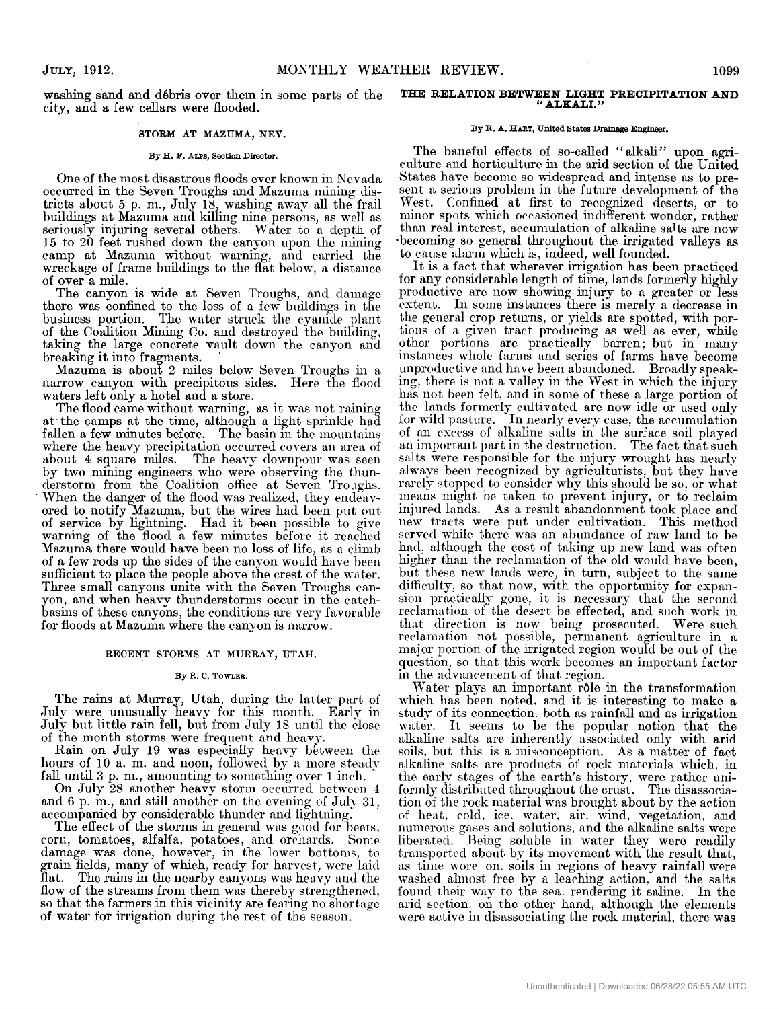washing sand and debris over hem in some parts of the city, and **a** few cellars were flooded.

#### **STORM AT MAZUMA, NEV.**

#### **By H. F. ALPS,** Section **Director.**

One of the most disastrous floods ever **known** in Nevada occurred in the Seven Troughs and Mazuma mining districts about 5 p. m., July 18, washing away all the frail buildings at Mazuma and killing nine persons, as well as seriously injuring several others. Water to a depth of at Mazuma without warning, and carried the of over **a** mile. 15 to 20 feet rushed down the canyon upon the mining 15 to 20 feet rushed down the canyon upon the mining camp at Mazuma without warning, and carried the wreckage of frame buildings to the flat below, a distance of exer a mile

The canyon is wide at Seven Troughs, and damage there was confined to the loss of a few buildings in the business portion. The water struck the cyanide plant of the Coalition Mining Co. and destroyed the building, taking the large concrete vault down the canyon and breakmg it into fragments. '

Mazuma is about 2 miles below Seven Troughs in a narrow canyon with precipitous sides. Here the flood waters left only a hotel and a store.

The flood came without warning, as it was not raining at the camps at the time, although **a** light sprinkle had fallen a few minutes before. The basin in the mountains where the heavy precipitation occurred corers **an** area of about 4 square miles. The heavy downpour was seen by two mining engineers who were observing the thunderstorni froni the Coalition office at Seven Troughs. When the danger of the flood was realized, they endeavored to notify Mazuma, but the wires had been put out of service by lightning. Had it been possible to give warning of the flood **a** few minutes before it reached Mazuma there would have been no loss of life, as a climb of a few rods up the sides of the canyon would have been sufficient to place the people above the crest of the water. Three small canyons unite with the Seven Troughs canyon, and when heavy thunderstorms occur in the catchbasins of these canyons, the conditions are very favornble for floods at Mazunia where the canyon is narrow.

#### **RECENT STORMS AT MURRAY, UTAH.**

#### **By R. C. TOWLER.**

The rains at Murray, Utah, during the latter part of July were unusually heavy for this month. Early in July but little rain fell, but from July 1s until the close of the month storms were frequent and heavy.

Rain on July 19 was especially heavy between the hours of 10 a. m. and noon, followed by a more steady fall until 3 p. m., amounting to something over 1 inch.

On July **38** another heavy storm occurred between **4**  and 6 p. m., and still another on the evening of July 31, accompanied by considerable thunder and lightning.

The effect of the storms in general was good for beets, corn, tomatoes, alfalfa, potatoes, and orchards. Some damage was clone, however, in the lower bottoms, to grain fields, many of which, ready for harvest, were laid flat. The rains in the nearby canyons was heavy and the flow of the streams from them was thereby strengthened, so that the farmers in this vicinity are fenring no shortage of water for irrigation during the rest of the season.

#### **THE RELATION BETWEEN LIGHT PRECIPITATION AND "ALKALI."**

#### **By R. A. HART, United Btatea Drainage** Engineer.

The baneful effects of so-called "alkali" upon agriculture and horticulture in the arid section of the United States have become so widespread and intense as to present a serious problem in the future development of the West. Confined at first to recognized deserts, or to minor spots which occasioned indifferent wonder, rather than real interest, accumulation of alkaline salts are now becoming so general throughout the irrigated valleys as to cause alarm which is, indeed, well founded.

It is a fact that wherever irrigation has been practiced for any considerable length of time, lands formerly highly productive are now showing injury to a greater or less extent. In some instances there is merely a decrease in the general crop returns, or yields are spotted, with portions **of** *a* given tract producing as well as ever, while other portions are practically barren; but in many instances whole farms and series of farms have become unproductive and have been abandoned. Broadly speaking, there is not **n** valley in the West in which the injury has not been felt, and in some of these a large portion of the lands formerly cultivated are now idle or used only for wild pasture. In nearly every case, the accumulation of *nn* excess of alkaline salts in the surface soil played an important part in the destruction. The fact that such salts were responsible for the injury wrought has nearly always been recognized by agriculturists, but they have rarely stopped to consider why this should be *so,* or what means might be taken to prevent injury, or to reclaim injured lands. As a result abandonment took place and new tracts were put under cultivation. This method served while there was an abundance of raw land to be **had,** although the cost of taking up new land was often higher than the reclamation of the old would have been, but these new lands were, in turn, subject to the same difficulty, so that now, with the opportunity for expansion practically gone, it is necessary that the second reclanintion of the desert be effected, and such work in that direction is now being prosecuted. Were such reclamation not possible, permanent agriculture in a major portion of the irrigated region would be out of the question, so that this work becomes **an** iniportant factor in the advancement of that region.

Water plays an important rôle in the transformation which has been noted, and it is interesting to make a study of its connection. both as rainfall and as irrigation water. It seems to be the popular notion that the alkaline salts are inherently associated only with arid soils, but this is a miwonception. **As** a matter of fact nlkaline salts are products of rock materials which. in the early stages of the earth's history, were rather uniformly distributed throughout the crust. The disassociation of the rock material was brought about by the action of heat, cold, ice. water, air, wind, vegetation, and numerous gases and solutions, and the alkaline salts were liberated. Being soluble in water they were readily transported about by its movement with the result that, as time wore on, soils in regions of heavy rainfall were washed almost free by a leaching action, and the salts found their way to the sea rendering it saline. In the arid section. on the other hand, although the elements were active in disassociating the rock mnterial, there was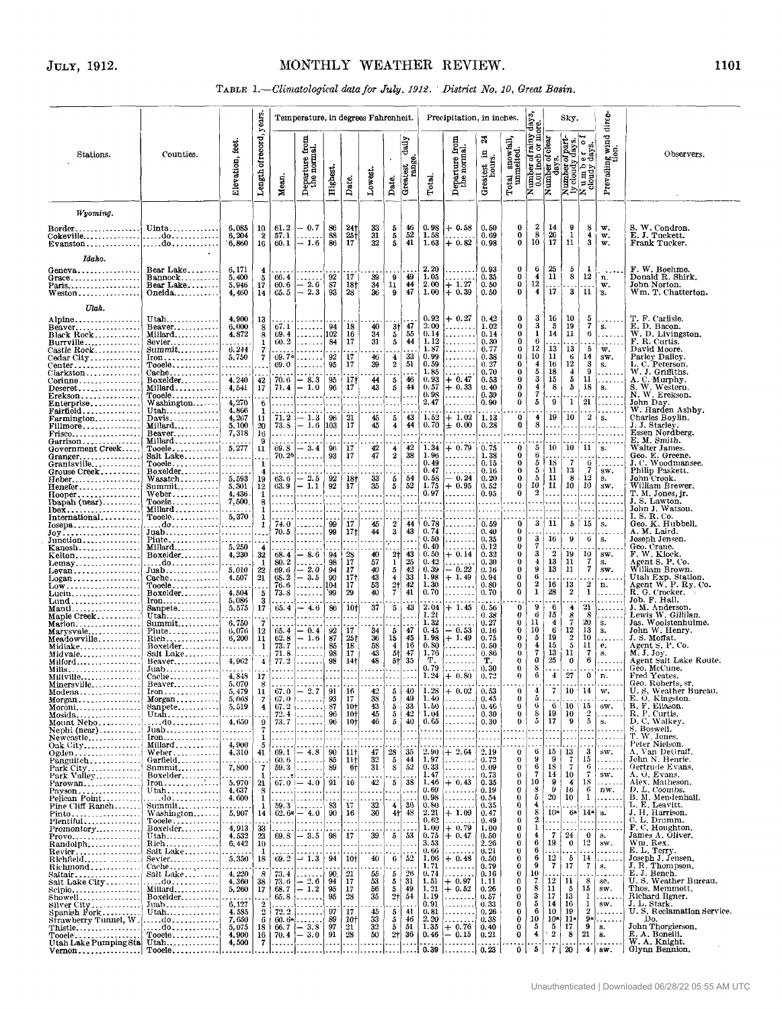### 1101

### TABLE 1.-Climatological data for July. 1912. District No. 10, Great Basin.

|                                                                       |                                                               |                                      |                               |                      |                                                                                                                                 | Temperature, in degrees Fahrenheit.           |                                           |                       |                              |                                               |                      | Precipitation, in inches.                 |                                 |                                     |                                                                  |                                  | Sky.                                             |                                                                 | direc-                                |                                                        |
|-----------------------------------------------------------------------|---------------------------------------------------------------|--------------------------------------|-------------------------------|----------------------|---------------------------------------------------------------------------------------------------------------------------------|-----------------------------------------------|-------------------------------------------|-----------------------|------------------------------|-----------------------------------------------|----------------------|-------------------------------------------|---------------------------------|-------------------------------------|------------------------------------------------------------------|----------------------------------|--------------------------------------------------|-----------------------------------------------------------------|---------------------------------------|--------------------------------------------------------|
| Stations.                                                             | Counties.                                                     | Elevation, feet.                     | Length of record, years       | Mean.                | Departure from<br>the normal.                                                                                                   | Highest.                                      | Date.                                     | Lowest.               | Date.                        | daily<br>g.<br>Greatest<br>rang               | Total.               | ea<br>Gai<br>eparture I<br>the norms<br>≏ | ಷ<br>日<br>Greatest in<br>hours. | tal snowfall,<br>unmelted.<br>Total | rainy day<br>or more.<br>Number of r<br>0.01 inch<br>Number of o | uber of clear<br>days.           | part                                             | Number of part-<br>ly cloudy days.<br>Number of<br>cloudy days. | $\overline{m}$ nd<br>Prevailing wire. | Observers.                                             |
| Wyoming.                                                              |                                                               |                                      |                               |                      |                                                                                                                                 |                                               |                                           |                       |                              |                                               |                      |                                           |                                 |                                     |                                                                  |                                  |                                                  |                                                                 |                                       |                                                        |
| Border.<br>Cokevilledo                                                | Uinta                                                         | 6,085<br>6,204<br>6,860              | 10<br>$\boldsymbol{2}$<br>16  | 61.2<br>57.1<br>60.1 | $-0.7$<br>$-1.6$                                                                                                                | 86<br>$\begin{array}{c} 88 \\ 86 \end{array}$ | 241<br>$\frac{25}{17}$                    | 33<br>31<br>32        | 5<br>5<br>5                  | $\begin{array}{c} 46 \\ 52 \end{array}$<br>41 | 0.98<br>1.58<br>1.63 | $+$ 0.58<br>$+0.82$                       | 0.50<br>0.69<br>0.98            | 0<br>0<br>0                         | 2<br>8<br>$10^{\circ}$                                           | 14<br>$\frac{26}{17}$            | 9<br>1<br>11                                     | 8<br>4<br>3                                                     | w.<br>w.<br>w.                        | S. W. Condron.<br>E. J. Tuckett.<br>Frank Tucker.      |
| Idaho.                                                                |                                                               |                                      |                               |                      |                                                                                                                                 |                                               |                                           |                       |                              |                                               |                      |                                           |                                 |                                     |                                                                  |                                  |                                                  |                                                                 |                                       |                                                        |
| Geneva<br>Grace                                                       | Bear Lake<br>$Bannock$                                        | 6,171<br>5,400                       | 4<br>5                        | 66.4                 | $-2.6$                                                                                                                          | $\substack{92\\87}$                           | 17                                        | 39                    | 9                            | 49                                            | 2.20<br>1.05<br>2 00 |                                           | 0.93<br>0.35                    | 0<br>0<br>0                         | 6<br>4<br>12                                                     | 25<br>11                         | 5<br>8                                           | 1<br>12                                                         | $\ddotsc$<br>n.                       | F. W. Boehme.<br>Donald R. Shirk.                      |
| Paris<br>Weston                                                       | Bear Lake<br>Oneida                                           | 5,946<br>4,460                       | 17<br>14                      | 60.6<br>05.5         | $-2.3$                                                                                                                          | 93                                            | 18†<br>28                                 | 34<br>36              | 11<br>9                      | 44<br>47                                      | 1.00                 | $+1.27$<br>+ 0.39                         | 0.50<br>0.50                    | 0                                   | 4                                                                | 17                               | $\overline{\mathbf{3}}$                          | 11                                                              | $\mathbf{w}$ .<br>S.                  | John Norton.<br>Wm. T. Chatterton.                     |
| Utah.                                                                 |                                                               |                                      |                               |                      |                                                                                                                                 |                                               |                                           |                       |                              |                                               | 0.92                 | $+0.27$                                   | 0.42                            | 0                                   | 3                                                                | 16                               | 10                                               | 5                                                               |                                       | T. F. Carlisle.                                        |
| Alpine<br>Beaver<br>Black Rock                                        | $Utah$<br>$Beaver$<br>$Millard$                               | 4,900<br>6,000<br>4,872              | 13<br>8<br>8                  | 67.1<br>69.4         | .<br>.                                                                                                                          | 94<br>102                                     | 18<br>16                                  | 40<br>34              | 3†<br>5                      | 47<br>55                                      | 2.00<br>0.14         | .<br>.                                    | 1.02<br>0.14                    | 0<br>$\mathbf{0}$                   | 3<br>1                                                           | $\frac{5}{14}$                   | 19<br>11                                         | 7<br>6                                                          | المحاد<br>s.<br>.                     | E. D. Bacon.<br>W. D. Livingston.                      |
| Burrville<br>Castle Rock                                              | $Sevier$<br>$Summit$                                          | 6,244                                | 1<br>7                        | 60.2                 | .<br>.                                                                                                                          | 84                                            | 17                                        | 31                    | $5\phantom{.0}$              | 44                                            | 1.12<br>1.87         | .<br>.                                    | 0.30<br>0.77                    | 0<br>0                              | -6<br>12                                                         | 13                               | 13                                               | 5                                                               | $\sim$ $\sim$ $\sim$<br>w.            | F. R. Curtis.<br>David Moore.                          |
| Cedar City<br>$\bar{\rm Center}$                                      | $\text{Iron}\ldots\ldots\ldots\ldots$<br>$Tooele$             | 5,750                                | 7                             | 69.7°<br>69.0        | .<br>.                                                                                                                          | 92<br>95                                      | 17<br>17                                  | 46<br>39              | $\frac{4}{2}$                | -33<br>51                                     | 0.99<br>0.59         | .<br>.                                    | 0.38<br>0.27                    | 0<br>0                              | 10<br>$\overline{4}$                                             | 11<br>16                         | $\begin{smallmatrix} &6\12\end{smallmatrix}$     | 14<br>3                                                         | sw.<br>s.                             | Parley Dalley.<br>L. C. Peterson.                      |
| Clarkston<br>Corinne                                                  | Cache<br>Boxelder                                             | 4,240                                | 42                            | 70.6                 | $-8.3$                                                                                                                          | 95                                            | 171                                       | 44                    | 5                            | 46                                            | 1.85<br>0.93         | .<br>$+$ 0.47                             | 0.70<br>0.53                    | 0<br>0                              | 5<br>3                                                           | 18<br>15                         | $\frac{4}{5}$                                    | 9<br>11                                                         | .<br>.                                | W. J. Griffiths.<br>A. C. Murphy.                      |
| ${\rm Deseret} \ldots \ldots \ldots \ldots$<br>Erekson                | $Millard$<br>$Tooele$                                         | 4,541                                | 17                            | 71.4                 | $-1.0$                                                                                                                          | 96                                            | 17                                        | 43                    | 5                            | 44                                            | 0.57<br>0.9S         | $+0.33$<br>.                              | 0.40<br>0.39                    | 0<br>0<br>0                         | $\frac{4}{7}$<br>5                                               | 8<br>-9                          | 5                                                | 18<br>21                                                        | s.                                    | S. W. Western.<br>N. W. Erekson.<br>John Day.          |
| $E$ nterpris $e_1, \ldots, \ldots, \ldots$<br>Fairfield<br>Farmington | Washington<br>$Utah$<br>$Davis$                               | 4,270<br>4,866<br>4, 267             | 6<br>-1<br>11                 | 71.2                 | $\cdots$<br>$ -1.3 $                                                                                                            | 96                                            | 21                                        | 45                    | 5                            | 43                                            | 2, 47<br>1.52        | $\sim$<br>$+1.02$                         | 0.90<br>1.13                    | 0                                   | 4                                                                | 19                               | $\mathbf{1}$<br>10                               | $\mathbf{2}$                                                    | .<br>.<br>s.                          | W. Harden Ashby.<br>Charles Boylin.                    |
| Fillmore<br>Frisco                                                    | Millard<br>$Beaver$                                           | 5,100<br>7,318                       | 20<br>16                      | .                    | $73.8 - 1.6$<br>.                                                                                                               | 103                                           | 17                                        | 45                    | $\overline{\mathbf{4}}$      | 44                                            | 0.70                 | $\pm$ 0.00                                | 0.28                            | 0                                   | 8                                                                | .<br>$\ddotsc$                   |                                                  | $\sim$<br>.                                                     | .<br>.                                | J. J. Starley.<br>Essen Nordberg.                      |
| Government Creek                                                      | Millard<br>$Tooele$                                           | 5,277                                | 9<br>11                       | 69.S                 | $-3.4$                                                                                                                          | 96                                            | 17                                        | 42                    | 4                            | 42                                            | 1.34                 | $+0.79$                                   | 0.75                            | 0                                   | 5                                                                | 10                               | 10                                               | 11                                                              | .<br>S <sub>1</sub>                   | E. M. Smith.<br>Walter James.                          |
| $Granger$<br>Grantsville                                              | Salt Lake<br>$Tooele$                                         | <u>.</u><br>.                        | 1                             |                      | $70.2b$<br>.                                                                                                                    | 93                                            | 17                                        | 47                    | $\boldsymbol{2}$             | 38                                            | 1.96<br>0.49         | .<br>.                                    | 1.38<br>0.15                    | 0<br>$\bf{0}$                       | t,<br>5                                                          | 18                               | 7                                                | 6                                                               | .<br>.                                | Geo. E. Greene.<br>J. C. Woodmansee.                   |
| Grouse Creek<br>Heber                                                 | Boxelder<br>Wasatch                                           | 5,593                                | 4<br>19                       |                      | $\begin{array}{c c} 63.6 & -2.5 \\ 63.9 & -1.1 \end{array}$                                                                     | 92                                            | 18†                                       | 33                    | 5                            | -54                                           | 0.47<br>0.58         | .<br>$-0.24$                              | 0.16<br>0.20                    | 0<br>0                              | 5<br>5<br>${\bf 10}$                                             | 11<br>11<br>11                   | 13<br>$\begin{smallmatrix}8\10\end{smallmatrix}$ | 7<br>12<br>10                                                   | SW.<br><b>S.</b>                      | Philip Paskett.<br>John Crook.                         |
| Henefer<br>Hooper<br>Ibapah (near)                                    | Summit<br>Weber                                               | 5,301<br>4,436                       | 12<br>1                       | .                    | .                                                                                                                               | 92                                            | 17                                        | 35                    | 5                            | 52                                            | 1.75<br>0.97<br>.    | $+0.95$<br>.                              | 0.52<br>0.95                    | 0.<br>0                             | $\boldsymbol{2}$                                                 | .<br>.                           | .                                                | المعا                                                           | sw.<br>.                              | William Brewer.<br>T. M. Jones, jr.<br>J. S. Lawton.   |
| Ibex<br>International                                                 | $Tooele$<br>Millard<br>$Tooele$                               | 7,500<br>5,370                       | 8                             | .<br>.               | .<br>1.<br>.                                                                                                                    |                                               |                                           | .                     |                              |                                               |                      | .<br>.                                    | .<br>.                          |                                     | .                                                                | .                                | .<br>$\ddotsc$<br>$\sim$                         | $\cdots$<br>.                                                   | .<br>.<br>.                           | John J. Watson.<br>I. S. R. Co.                        |
| $I$ osep $a$                                                          | . do<br>Juab                                                  | <br>.                                | 1                             | 74.0<br>70.5         | .<br>.                                                                                                                          | 99<br>99                                      | 17<br>17†                                 | 45<br>44              | 2<br>3                       | -44<br>43                                     | 0.78<br>0.74         | .<br>.                                    | 0.59<br>0.40                    | $\bf{0}$<br>0                       | 3                                                                | 11                               | 5                                                | 15                                                              | <b>S.</b><br>.                        | Geo. K. Hubbell.<br>A. M. Laird.                       |
| $\texttt{Junction} \dots \dots \dots \dots \dots$<br>Kanosh           | Piute<br>Millard                                              | 5,250                                |                               |                      | .                                                                                                                               |                                               |                                           |                       |                              |                                               | 0.50<br>0.40         | .<br>.                                    | 0.35<br>0.12                    | 0<br>0                              | 3<br>7                                                           | 16                               | 9                                                | ti.                                                             | S <sub>z</sub><br>$\sim$              | Joseph Jensen.<br>Geo. Crane.                          |
| Kelton<br>Lemay                                                       | Boxelder<br>.                                                 | 4,230                                | 32<br>-1                      | 68.4<br>80.2         | $-8.6$                                                                                                                          | 94<br>98                                      | $\substack{28 \\ 17}$                     | 40<br>57              | 2†<br>$\mathbf{I}$           | 43                                            | 0.50<br>0.42         | $+ 0.14$<br>.                             | 0.33<br>0.30                    | 0.<br>0                             | 3<br>$\overline{4}$                                              | $\boldsymbol{2}$<br>13           | 19<br>11                                         | 10<br>7                                                         | SW.<br>s.                             | F. W. Klock.<br>Agent S. P. Co.                        |
| $Levan \ldots \ldots \ldots \ldots$<br>Logan <i>.</i> .               | $Juab$<br>$Cache$                                             | 5,010<br>4,507                       | 22<br>21                      | 69.6<br>68.2         | $\begin{array}{ccc} -2.0 \\ -3.5 \\ \ldots \end{array}$                                                                         | 94<br>90                                      | 17<br>17 <sub>1</sub>                     | 40<br>43              | 5<br>$\overline{\mathbf{4}}$ | $\frac{25}{33}$                               | 0.39<br>1.98<br>1.30 | $-0.22$<br>$+1.49$                        | 0.16<br>0.94                    | 0<br>0<br>0                         | 9<br>6<br>$\bf{2}$                                               | 13<br>16                         | 11                                               | $7\phantom{.0}$<br>2                                            | SW.<br>$\sim$ $\sim$ $\sim$           | William Brown.<br>Utah Exp. Station.                   |
| Lucin<br>Lund                                                         | $Tooele$<br>Boxelder<br>$\text{Iron}, \ldots, \ldots, \ldots$ | 4.504<br>5,086                       | 5<br>3                        | 76.6<br>73.8         | .                                                                                                                               | 104<br>'99                                    | 17<br>29                                  | 53<br>40              | $\frac{2}{7}$                | 42<br>41                                      | 0.70                 | .<br>.                                    | 0.80<br>0.70                    | 0                                   | $\mathbf 1$                                                      | 28                               | $\frac{13}{2}$                                   | $\mathbf{1}$                                                    | n.<br>.<br>.                          | Agent W. P. Ry. Co.<br>R. G. Crocker.<br>Job. F. Hall. |
| Manti<br>Maple Creek                                                  | $Sample$ ,<br>$Utah$                                          | 5,575                                | 17                            | 65.4                 | $-4.6$                                                                                                                          | 86                                            | 10†                                       | 37<br>.               | 5                            | 43                                            | 2.04<br>1.21         | $+1.45$<br>.                              | 0.56<br>0.38                    | 0<br>0                              | 9<br>6                                                           | $\frac{6}{15}$                   | 4                                                | 21<br>8                                                         | .<br>.                                | J. M. Anderson.<br>Lewis W. Gillilan.                  |
| Marion<br>$Marys value$                                               | $Summit$<br>Piute                                             | 6,750<br>6.076                       | 7<br>12                       | 65.4                 | $-0.4$                                                                                                                          | 92                                            | 17                                        | 34                    | 5                            | 47                                            | 1.32<br>0.45         | .<br>$-0.53$                              | 0.27<br>0.16                    | 0<br>0                              | 11<br>$10\,$                                                     | 4<br>$6\phantom{1}$              | $\frac{8}{7}$<br>$12\phantom{.0}$                | $20 -$<br>13                                                    | s.<br>s.                              | Jas. Woolstenhulme.<br>John W. Henry.                  |
| $Meadv$ ville $\ldots \ldots \ldots$<br>Midlake                       | Rich<br>Boxelder                                              | 6,200<br><b><i><u>ALLESS</u></i></b> | 11<br>1                       | 62.8<br>73.7         | $-1.6$<br>$\begin{array}{cccccccccc} \bullet & \bullet & \bullet & \bullet & \bullet & \bullet & \bullet & \bullet \end{array}$ | 87<br>85                                      | $\frac{25}{18}$                           | $\frac{36}{58}$       | 15<br>4                      | 45<br>16                                      | 1.98<br>0.80         | $+1.49$<br>.                              | 0.75<br>0.50                    | 0<br>0                              | $\frac{5}{4}$                                                    | 19<br>15                         | $\frac{2}{5}$                                    | 10<br>11                                                        | .<br>е.                               | J. S. Moffat.<br>Agent S. P. Co.                       |
| Midvale<br>Milford                                                    | Salt Lake<br>Beaver                                           | 4,962                                | $\frac{4}{3}$                 | 71.8<br>77.2         | $\sim$ $\sim$ $\sim$ $\sim$ $\sim$<br>.                                                                                         | 98<br>98                                      | 17<br>14†                                 | 43<br>48              | $\frac{5}{5}$                | 47<br>35                                      | 1.76<br>Т.           | --------<br>.                             | 0.86<br>т.                      | 0<br>0                              | $\frac{7}{0}$<br>8                                               | 13<br>25                         | 11<br>0                                          | -7<br>6                                                         | 8.<br>.                               | M. J. Joy.<br>Agent Salt Lake Route.<br>Geo. McCune.   |
| Mills<br>Millville<br>Minersville                                     | $Juab$<br>Cache<br>Beaver                                     | 4,848<br>5,070                       | 17<br>8                       | .                    | .                                                                                                                               |                                               | $\ddot{\phantom{0}}$                      |                       |                              |                                               | 0.79<br>1.24         | 1.<br>$+ 0.80$                            | 0.30<br>0.72                    | 0.<br>0                             | 6                                                                | $\overline{\mathbf{A}}$          | 27                                               | 0                                                               | n.                                    | Fred Yeates.<br>Geo. Roberts, sr.                      |
| Modena<br>$M$ organ                                                   | $\text{Iron}\dots\dots\dots\dots$<br>$Morgan$                 | 5, 479<br>5,068                      | 11<br>$\overline{\mathbf{z}}$ | 67.0                 | .<br>$-2.7$<br>$67.0$                                                                                                           | 91<br>93                                      | 16<br>17                                  | 42                    | 5<br>5                       | 40<br>49                                      | 1.28<br>1.40         | $+0.02$<br>.                              | 0.53<br>0.45                    | 0<br>0                              | $\overline{4}$<br>5                                              | -7                               | 10                                               | 14                                                              | w.<br>$\cdots$                        | U.S. Weather Bureau.<br>E. O. Kingston.                |
| Moroni<br>Mosida                                                      | Sanpete<br>Utah                                               | 5,519                                | $\overline{4}$                |                      | $67.2$ i<br>$72.4$                                                                                                              | 87<br>96                                      | 10†<br>10†                                | $\frac{38}{43}$<br>45 | $\bf 5$<br>5                 | 33<br>42                                      | 1.50<br>1.04         | .<br>.                                    | 0.46<br>0.30                    | 0<br>0                              | 6<br>s                                                           | -6<br>19                         | 10<br>10                                         | 15<br>2                                                         | SW.<br>.                              | B. F. Eliason.<br>R. P. Curtis.                        |
| Mount Nebo<br>Nephi $(near)$                                          | do<br>$J$ uab                                                 | 4,650                                | 9<br>7                        | $\cdots$             | $73.7$<br>.                                                                                                                     | 96                                            | 10†                                       | 46                    | 5                            | 40<br>$\ddotsc$                               | 0.65<br>$\cdots$     | .<br>.                                    | 0.30<br>$\cdots$                | 0                                   | 5                                                                | 17                               | 9                                                | $\overline{5}$                                                  | $S_{\star}$<br>.                      | D. C. Walkey.<br>S. Boswell.                           |
| Newcastle<br>$\mathrm{Oak}\ \mathrm{City}.$                           | [ron]<br>Millard                                              | 4,900                                | 1<br>5                        | $\cdots$             | .                                                                                                                               |                                               | .                                         | .                     |                              |                                               | $- - -$              | .<br>.                                    | .                               | $\sim 100$                          | .<br>6                                                           | 15                               | 13                                               | .<br>3                                                          | .<br>.<br>sw.                         | T. W. Jones.<br>Peter Nielson.<br>A. Van DeGraff.      |
| Ogden<br>Panguitch                                                    | Weber<br>Garfield<br>$Summit$                                 | 4,310<br>7,800                       | 41<br>7                       | 69.1<br>60.6         | $-4.8$<br>.<br>$59.3$                                                                                                           | 90<br>85<br>89                                | 11 <sup>†</sup><br>11 <sub>†</sub><br>-6† | 47<br>32<br>31        | 28<br>5<br>8                 | 35<br>44<br>52                                | 2.90<br>1.97<br>0.33 | $+ 2.64$<br>.                             | 2.19<br>0.72<br>0.09            | 0<br>0<br>0                         | 9<br>$\ddot{\bf{6}}$                                             | 9<br>18                          | $\overline{I}$<br>7                              | 15<br>-6                                                        | .<br>.                                | John N. Henrie.<br>Gertrude Evans.                     |
| Park City<br>Park Valley<br>Parowan                                   | Boxelder<br>Iron                                              | 5,970                                | 1<br>21                       |                      | .<br>$67.0 - 4.0$                                                                                                               | 91                                            | 16                                        | 42                    | 5                            | 38                                            | 1.47<br>1.46         | .<br>.<br>$+ 0.43$                        | 0.73<br>0.35                    | 0<br>0                              | 7<br>10                                                          | 14<br>9                          | 10<br>4                                          | 7<br>18                                                         | SW.<br>.                              | A. O. Evans.<br>Alex, Matheson.                        |
| Payson<br>Pelican Point                                               | Utah<br>do                                                    | 4,637<br>4,600                       | 8<br>-1                       | $\cdots$             | $\cdots$<br>.                                                                                                                   |                                               |                                           | .                     |                              |                                               | 0.69<br>0.98         | .<br>.                                    | 0.19<br>0.54                    | 0<br>0                              | $\overline{\mathbf{3}}$<br>5                                     | 9<br>$20\,$                      | 16<br>10                                         | 6<br>$\mathbf{1}$                                               | nw.<br>.                              | D. L. Coombs.<br>B. M. Mendenhall.                     |
| Pine Cliff Ranch<br>Pinto                                             | $Summit$ ,<br>Washington                                      | 5,907                                | -1<br>14                      | 59.3                 | $\sim$ $\sim$ $\sim$ $\sim$ $\sim$<br>$62.68 - 4.0$                                                                             | 83<br>90                                      | 17<br>16                                  | 32<br>30              | 4.<br>4 <sub>1</sub>         | -36<br>48                                     | 0.80<br>2.21         | .<br>$+1.09$                              | 0.35<br>0.47                    | 0<br>0                              | 4<br>$\frac{8}{2}$                                               | 10 <sup>a</sup>                  | 64                                               | $14a$ s.                                                        | .                                     | L. E. Leavitt.<br>J. H. Harrison.                      |
| Plentiful<br>$Pronon to r, \ldots, \ldots$                            | Tooele<br>Boxelder                                            | 4,913                                | 33                            | .                    |                                                                                                                                 |                                               |                                           |                       |                              |                                               | 0.62<br>1.00         | .<br>$+0.79$                              | 0.49<br>1.00                    | 0<br>0                              | 1                                                                | $\ddotsc$                        |                                                  |                                                                 | .<br>.                                | C. L. Drumm.<br>F.C. Houghton.                         |
| Provo                                                                 | Utah<br>Rich                                                  | 4,532<br>6,442                       | 23<br>10<br>-1                | 69. S<br>$\cdots$    | $-3.5$<br>.                                                                                                                     | 98                                            | 17                                        | 39                    | 5                            | -53                                           | 0.75<br>3.53<br>0.66 | $+0.47$<br>.                              | 0.50<br>2.26<br>0.21            | 0<br>0<br>0                         | 4<br>$\bf 6$<br>6                                                | -7<br>19                         | 24<br>$\mathbf 0$                                | 0<br>$12-$                                                      | 8.<br>SW.<br>$\cdots$                 | James A. Oliver,<br>Wm, Rex.<br>E. L. Terry.           |
| Revier<br>Richfield<br>Richmond                                       | Salt Lake<br>Sevier                                           | 5,350                                | 18                            | 69.2                 | $-1.3$                                                                                                                          | 94                                            | 10 <sub>1</sub>                           | 40                    | 6                            | -52                                           | 1.06<br>1.71         | .<br>$+0.48$<br>.                         | 0, 50<br>0.79                   | 0<br>0                              | 6<br>9                                                           | $\frac{12}{7}$                   | -5<br>17                                         | 14<br>7                                                         | .<br>s.                               | Joseph J. Jensen.<br>J. R. Thompson.                   |
| Saitair<br>Salt Lake City                                             | Salt Lake<br>do                                               | 4,220<br>4,360                       | 8<br>38                       | 73.4<br>73.6         | .                                                                                                                               | 90.<br>94                                     | 21<br>17                                  | 55<br>53              | 5<br>5                       | -26<br>31                                     | 0.74<br>1.51         | .<br>$+0.97$                              | 0.16<br>1, 11                   | 0<br>0                              | 10                                                               | 12                               | 11                                               | 8                                                               | $\cdots$<br>se.                       | E.J. Bench.<br>U.S. Weather Bureau.                    |
| $Seipio$<br>Showell                                                   | Millard<br>Boxelder                                           | 5, 260                               | 17                            | 68.7<br>65.8         | $\begin{array}{ c c }\n-2.6 \\ -1.2 \\ \hline\n\end{array}$                                                                     | 95<br>95                                      | 17<br>28                                  | 56<br>35              | 5<br>2†                      | 49<br>54                                      | 1.21<br>1.19         | $+0.52$<br>.                              | 0.26<br>0.57                    | 0<br>0                              | $\begin{array}{c} 7 \ 8 \ 3 \ 5 \ 6 \end{array}$                 | 11<br>17                         | 5<br>13                                          | 15<br>1                                                         | SW.<br>.                              | Thos. Memmott,<br>Richard Ilgner.                      |
| Silver City<br>Spanish Fork<br>Strawberry Tunnel, W.                  | $Juab$<br>Utah                                                | 6, 127<br>4.585                      | 2<br>G.                       | 72.2                 | .<br>.                                                                                                                          | 97                                            | 17                                        | 45                    | 5                            | 41                                            | 0.91<br>0.81         | .<br>.                                    | 0.33<br>0.26                    | $\bf{0}$<br>0                       |                                                                  | 14<br>10                         | 16<br>19                                         | 1<br>$\overline{2}$                                             | sw.<br>.                              | J. L. Stark.<br>U.S. Reclamation Service.              |
| Thistle<br>$Tooele$                                                   | . do . <i>.</i><br>. do<br>$Tooele$                           | 7,650<br>5,075<br>4,900              | 6<br>18<br>16                 |                      | $60.6$ <sup><math>\bullet</math></sup><br>$\begin{array}{c c} 66.7 & -3.8 \\ 70.4 & -3.0 \end{array}$                           | 89<br>97<br>91                                | -10†<br>21<br>28                          | 33<br>32<br>50        | 5<br>5<br>2†                 | 46<br>51<br>36                                | 2.20<br>1.35<br>0.46 | .<br>$+ 0.76$<br>$-0.15$                  | 0.38<br>0.40<br>0.21            | 0<br>0<br>0                         | 10<br>$\frac{5}{4}$                                              | 10 <sub>n</sub><br>$\frac{5}{2}$ | 11 <sup>s</sup><br>17<br>8                       | 9а<br>9<br>$21\,$                                               | .<br><b>s.</b><br>8.                  | Do.<br>John Thorgierson,<br>E. A. Bonelli.             |
| Utah Lake Pumping Sta<br>$Vernon$                                     | Utah<br>$Tooele, \ldots, \ldots, \ldots$                      | 4,500                                | 7                             | .<br>.               | .<br>.                                                                                                                          |                                               |                                           |                       |                              |                                               | 0.39                 | .                                         | 0.23                            | 0                                   | 5                                                                | 7                                | 20                                               |                                                                 | $4$   sw.                             | W. A. Knight.<br>Glynn Bennion.                        |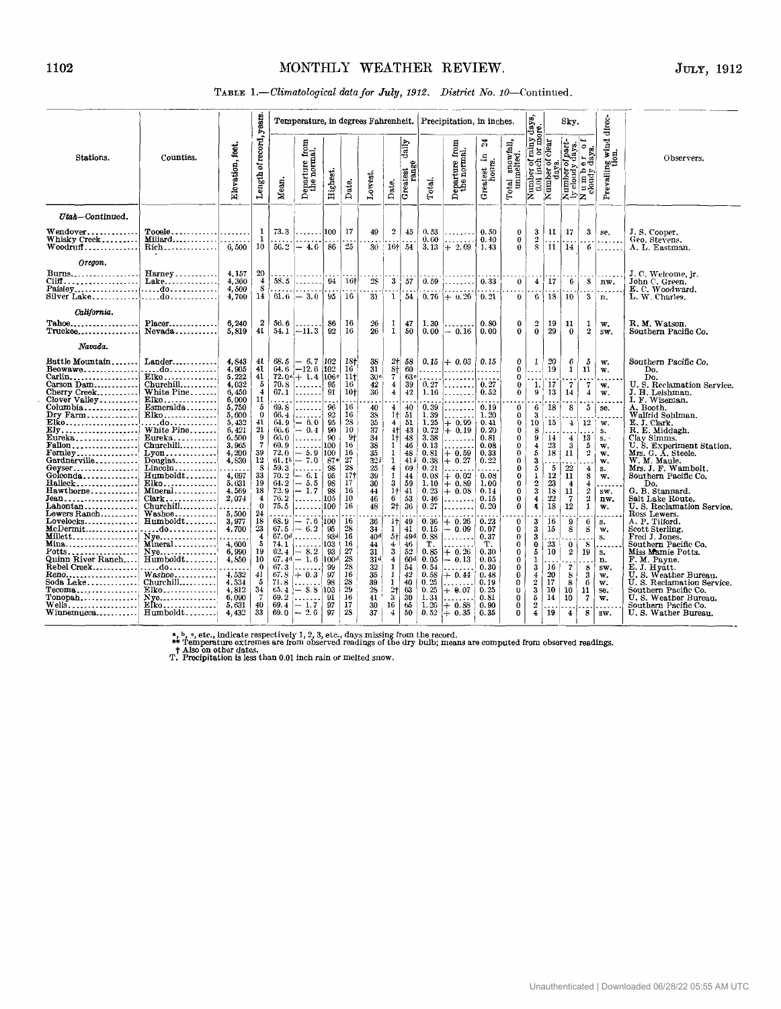## JULY, 1912

### TABLE 1 .- Climatological data for July, 1912. District No. 10-Continued.

|                                                                                                                                                                                                                                                                                                                                                                                                                                                                                                                                                                                                                                                                                        |                                                                                                                                                                                                                                                                                                                                                                                                           |                                                                                                                                                                                                                                                                   |                                                                                                                                                                                                                                            |                                                                                                                                                                                |                                                                                                                                                                                                                                                                                                                                                                                                                           |                                                                                                                                                                                                            |                                                                                                                                                                                                                            |                                                                                                                                                                                                                                                                                             |                                                                                                                                                                                                                                                                                                                                                                                        |                                                                                                                                                                                                                         |                                                                                                                                                                                                                                                 | Temperature, in degrees Fahrenheit. Precipitation, in inches.                                                                                                                                                               |                                                                                                                                                                                                                                        |                                                                                                                                                                                                                    |                                                                                                                                                                                                                                          |                                                                                                                                                                                            | Sky.                                                                                                                                                                                                                              |                                                                                                                                                                                                                                         | direc-                                                                                                                                                                                                                                     |                                                                                                                                                                                                                                                                                                                                                                                                                                                                                                                                                                                                                                                                     |
|----------------------------------------------------------------------------------------------------------------------------------------------------------------------------------------------------------------------------------------------------------------------------------------------------------------------------------------------------------------------------------------------------------------------------------------------------------------------------------------------------------------------------------------------------------------------------------------------------------------------------------------------------------------------------------------|-----------------------------------------------------------------------------------------------------------------------------------------------------------------------------------------------------------------------------------------------------------------------------------------------------------------------------------------------------------------------------------------------------------|-------------------------------------------------------------------------------------------------------------------------------------------------------------------------------------------------------------------------------------------------------------------|--------------------------------------------------------------------------------------------------------------------------------------------------------------------------------------------------------------------------------------------|--------------------------------------------------------------------------------------------------------------------------------------------------------------------------------|---------------------------------------------------------------------------------------------------------------------------------------------------------------------------------------------------------------------------------------------------------------------------------------------------------------------------------------------------------------------------------------------------------------------------|------------------------------------------------------------------------------------------------------------------------------------------------------------------------------------------------------------|----------------------------------------------------------------------------------------------------------------------------------------------------------------------------------------------------------------------------|---------------------------------------------------------------------------------------------------------------------------------------------------------------------------------------------------------------------------------------------------------------------------------------------|----------------------------------------------------------------------------------------------------------------------------------------------------------------------------------------------------------------------------------------------------------------------------------------------------------------------------------------------------------------------------------------|-------------------------------------------------------------------------------------------------------------------------------------------------------------------------------------------------------------------------|-------------------------------------------------------------------------------------------------------------------------------------------------------------------------------------------------------------------------------------------------|-----------------------------------------------------------------------------------------------------------------------------------------------------------------------------------------------------------------------------|----------------------------------------------------------------------------------------------------------------------------------------------------------------------------------------------------------------------------------------|--------------------------------------------------------------------------------------------------------------------------------------------------------------------------------------------------------------------|------------------------------------------------------------------------------------------------------------------------------------------------------------------------------------------------------------------------------------------|--------------------------------------------------------------------------------------------------------------------------------------------------------------------------------------------|-----------------------------------------------------------------------------------------------------------------------------------------------------------------------------------------------------------------------------------|-----------------------------------------------------------------------------------------------------------------------------------------------------------------------------------------------------------------------------------------|--------------------------------------------------------------------------------------------------------------------------------------------------------------------------------------------------------------------------------------------|---------------------------------------------------------------------------------------------------------------------------------------------------------------------------------------------------------------------------------------------------------------------------------------------------------------------------------------------------------------------------------------------------------------------------------------------------------------------------------------------------------------------------------------------------------------------------------------------------------------------------------------------------------------------|
| Stations.                                                                                                                                                                                                                                                                                                                                                                                                                                                                                                                                                                                                                                                                              | Counties.                                                                                                                                                                                                                                                                                                                                                                                                 | Elevation, feet.                                                                                                                                                                                                                                                  | Length of record, years                                                                                                                                                                                                                    | Mean.                                                                                                                                                                          | eparture from<br>the normal.<br>Ā                                                                                                                                                                                                                                                                                                                                                                                         | Highest.                                                                                                                                                                                                   | Date.                                                                                                                                                                                                                      | Lowest.                                                                                                                                                                                                                                                                                     | Date,                                                                                                                                                                                                                                                                                                                                                                                  | daily<br>Greatest<br>range                                                                                                                                                                                              | Total.                                                                                                                                                                                                                                          | Departure from<br>the normal.                                                                                                                                                                                               | 꿁<br>$\mathbf{E}.$<br>Greatest in<br>hours.                                                                                                                                                                                            | Total snowfall,<br>unmelted.                                                                                                                                                                                       | Number of rainy days,<br>0.01 inch or more.                                                                                                                                                                                              | Number of clear<br>days.                                                                                                                                                                   | Jpart-<br>days.<br>1 0 1<br>Number of part<br>ly cloudy days.<br>N u m b e r o<br>cloudy days.                                                                                                                                    |                                                                                                                                                                                                                                         | Prevalling wind<br>tion.                                                                                                                                                                                                                   | Observers.                                                                                                                                                                                                                                                                                                                                                                                                                                                                                                                                                                                                                                                          |
| Utah-Continued.                                                                                                                                                                                                                                                                                                                                                                                                                                                                                                                                                                                                                                                                        |                                                                                                                                                                                                                                                                                                                                                                                                           |                                                                                                                                                                                                                                                                   |                                                                                                                                                                                                                                            |                                                                                                                                                                                |                                                                                                                                                                                                                                                                                                                                                                                                                           |                                                                                                                                                                                                            |                                                                                                                                                                                                                            |                                                                                                                                                                                                                                                                                             |                                                                                                                                                                                                                                                                                                                                                                                        |                                                                                                                                                                                                                         |                                                                                                                                                                                                                                                 |                                                                                                                                                                                                                             |                                                                                                                                                                                                                                        |                                                                                                                                                                                                                    |                                                                                                                                                                                                                                          |                                                                                                                                                                                            |                                                                                                                                                                                                                                   |                                                                                                                                                                                                                                         |                                                                                                                                                                                                                                            |                                                                                                                                                                                                                                                                                                                                                                                                                                                                                                                                                                                                                                                                     |
| <b>Wendover.</b><br>Whisky Creek<br>$Woodruff$                                                                                                                                                                                                                                                                                                                                                                                                                                                                                                                                                                                                                                         | $Tooale$<br>$\text{Millard} \dots \dots \dots \dots \dots$                                                                                                                                                                                                                                                                                                                                                |                                                                                                                                                                                                                                                                   | 1<br>$\mathbf{1}$<br>10                                                                                                                                                                                                                    | 73.3<br>56.2                                                                                                                                                                   | $\dots \dots 100$<br>$-4.6$                                                                                                                                                                                                                                                                                                                                                                                               | 86                                                                                                                                                                                                         | 17<br>25                                                                                                                                                                                                                   | 49                                                                                                                                                                                                                                                                                          | $\overline{2}$<br>30:16 154                                                                                                                                                                                                                                                                                                                                                            | 45                                                                                                                                                                                                                      | 0, 53<br>0.60                                                                                                                                                                                                                                   | .<br>.<br>$3.13 \div 2.69$                                                                                                                                                                                                  | 0.50<br>0.40<br>1.43                                                                                                                                                                                                                   | $\bf{0}$<br>$\bf{0}$<br>$\Omega$                                                                                                                                                                                   | 3<br>$\frac{5}{8}$                                                                                                                                                                                                                       | 11                                                                                                                                                                                         | 17<br>11   14                                                                                                                                                                                                                     | 3<br>-6                                                                                                                                                                                                                                 | se.<br>1.                                                                                                                                                                                                                                  | J.S. Cooper.<br>Geo. Stevens.<br>A. L. Eastman.                                                                                                                                                                                                                                                                                                                                                                                                                                                                                                                                                                                                                     |
| Oregon.<br>Burns<br>Cliff<br>Paislev do <b></b><br>Silver Lake do                                                                                                                                                                                                                                                                                                                                                                                                                                                                                                                                                                                                                      | $Harney$<br>Lake                                                                                                                                                                                                                                                                                                                                                                                          | 4, 157<br>4,300<br>4,500<br>4,700                                                                                                                                                                                                                                 | $\frac{20}{4}$<br>s<br>14                                                                                                                                                                                                                  |                                                                                                                                                                                | $58.5$<br>$61.6 - 3.0$                                                                                                                                                                                                                                                                                                                                                                                                    | 94<br>95                                                                                                                                                                                                   | 16†<br>-16                                                                                                                                                                                                                 | 28<br>31                                                                                                                                                                                                                                                                                    | $\mathbf{3}$<br>$\mathbf{1}$                                                                                                                                                                                                                                                                                                                                                           | -57<br>-54                                                                                                                                                                                                              | 0.59<br>0, 76                                                                                                                                                                                                                                   | .<br>$+ 0.26$                                                                                                                                                                                                               | 0.33<br>0.21                                                                                                                                                                                                                           | $\mathbf{0}$<br>0                                                                                                                                                                                                  | $\pm$ !                                                                                                                                                                                                                                  | 17<br>6   18                                                                                                                                                                               | -6<br>-10                                                                                                                                                                                                                         | 3                                                                                                                                                                                                                                       | $S \mid n \mathbf{w}$ .<br>n.                                                                                                                                                                                                              | J.C. Welcome, jr.<br>John C. Green.<br>E. C. Woodward.<br>L. W. Charles.                                                                                                                                                                                                                                                                                                                                                                                                                                                                                                                                                                                            |
| California.<br>$\texttt{Table0} \dots \dots \dots \dots \dots$<br>Truckee                                                                                                                                                                                                                                                                                                                                                                                                                                                                                                                                                                                                              | $Placer$<br>$Nevada$                                                                                                                                                                                                                                                                                                                                                                                      | 6,240<br>5,819                                                                                                                                                                                                                                                    | 2<br>41                                                                                                                                                                                                                                    | 56.6<br>54.1                                                                                                                                                                   | $-11.3$                                                                                                                                                                                                                                                                                                                                                                                                                   | 86<br>92                                                                                                                                                                                                   | 16<br>16                                                                                                                                                                                                                   | 26<br>$\overline{26}$                                                                                                                                                                                                                                                                       | 1<br>$\mathbf{I}$                                                                                                                                                                                                                                                                                                                                                                      | 47<br>50                                                                                                                                                                                                                | 1.30<br>0.00                                                                                                                                                                                                                                    | $-0.16$                                                                                                                                                                                                                     | 0.80<br>0.00                                                                                                                                                                                                                           | 0<br>0                                                                                                                                                                                                             | 2<br>$\bf{0}$                                                                                                                                                                                                                            | 19<br>29                                                                                                                                                                                   | 11<br>$\bf{0}$                                                                                                                                                                                                                    | 1<br>$\overline{2}$                                                                                                                                                                                                                     | w.<br>SW.                                                                                                                                                                                                                                  | R. M. Watson.<br>Southern Pacific Co.                                                                                                                                                                                                                                                                                                                                                                                                                                                                                                                                                                                                                               |
| Navada.<br>Battle Mountain<br>Beowawe<br>Carson Dam<br>Cherry Creek<br>Clover Valley<br>.columbia<br>Dry Farm<br>Elko<br>Ely<br>${\rm E}$ ureka<br>$\text{Fallon}\ldots\ldots\ldots\ldots\ldots$<br>$\textbf{Fermley}\dots\dots\dots\dots\dots\,.$<br>$\mathtt{Gardne}$ rville $\ldots \ldots \ldots$<br>Geyser<br>Golconda<br>Halleck<br>Hawthorne <br>Jean<br>Lahontan <br>${\tt Lowers\, Random}\dots\dots\dots$<br>$\mathtt{Lovelocks}.\dots\dots\dots\dots\dots$<br>$\texttt{McDermit}\ldots\ldots\ldots\ldots$<br>Millett. 1<br><u> Mina.</u><br>Potts<br>Quinn River Ranch<br>${\rm Rebel~Creek}.$<br>Reno <br>Soda Lake<br>$Tecoma \dots \dots \dots \dots \dots$<br>$Tonopah$ | Lander<br>. do <i>. .</i> . 1<br>$Churchill$<br>White Pine<br>Elko<br>$E$ smeralda<br>Elko<br>. do 1<br>White Pine<br>$Churchill$<br>$Lyon$<br>Douglas<br>$Lincoh$<br>Humboldt<br>$Elko$<br>Mineral<br>$Clark$<br>$Churchill$<br>$W$ ashoe<br>$Humboldt$<br>. do<br>$N$ ve<br>Mineral<br>$N$ ve<br>$Humboldt$<br>. do <i>.</i> l<br>$Washoe, \ldots, \ldots,$<br>$Churchill$<br>$Ellko$<br>$N$ ye<br>Elko | 4.843<br>4,905<br>5,232<br>4.032<br>6,450<br>6,000<br>5,750<br>5,600<br>5,432<br>6.421<br>6.500<br>3,965<br>4,200<br>4,830<br>4,697<br>5,631<br>4,569<br>2,074<br>5,500<br>3,977<br>4,700<br>4,600<br>6,990<br>4.850<br>4.532<br>4,534<br>4,812<br>6,090<br>5.631 | 41<br>41<br>41<br>5<br>4<br>11<br>5<br>$\theta$<br>41<br>21<br>9<br>$\overline{7}$<br>39<br>12<br>s<br>33<br>19<br>18<br>$\bf{4}$<br>$\Omega$<br>24<br>18<br>23<br>4<br>5<br>19<br>10<br>$\Omega$<br>41<br>5<br>34<br>$\overline{7}$<br>40 | 69.8<br>66.4<br>64.9<br>66. 6<br>66.0<br>69.9<br>72,0<br>70.2<br>64.2<br>72.9<br>76.2<br>75.5<br>6S. 9<br>67.5<br>74.1<br>62.4<br>67.3<br>67.8<br>71.8<br>65.4<br>69.2<br>69.4 | $\begin{array}{c c} 68.5 & - & 6.7 & 102 \\ 64.6 & -12.6 & 102 \\ 72.0^\circ & + & 1.4 & 106^\circ \end{array}$<br>$70.8$<br>$67.1$<br>.<br><u></u><br>$\left  -\begin{array}{c} 6.0 \\ 0.4 \end{array} \right $<br>.<br>.<br>$-5.9$<br>$61.1h$ - 7.0<br>$59.3$<br>$-6.1$<br>$\left  -\frac{5.5}{1.7} \right $<br>.<br>. 100<br>$-7.6$<br>$-6.2$<br>$67.04$<br>.<br>$-8.2$<br>$67.44 - 1.6$<br>$+0.3$<br>$-8.8$<br>$-1.7$ | 95<br>91<br>96<br>92<br>95<br>90<br>90<br>100<br>100<br>87 <sub>e</sub><br>$\frac{98}{95}$<br>98<br>98<br>105<br> 100<br>95<br>934<br>103<br>93<br>100 <sup>d</sup><br>99<br>97<br>98<br> 103 <br>91<br>97 | 18†<br>16<br>$11+$<br>16<br>10 <sub>1</sub><br>16<br>16<br>28<br>10<br>-91<br>16<br>16<br>27<br>28<br>$\overline{17}$<br>17<br>16<br>10<br>16<br>16<br>$28\,$<br>16<br>16<br>27<br>28<br>28<br>16<br>28<br>-29<br>16<br>17 | 38<br>31<br>30 <sup>c</sup><br>42<br>36<br>40<br>38<br>$\frac{35}{37}$<br>34<br>$\frac{38}{35}$<br>321<br>$\frac{25}{39}$<br>30<br>44<br>46<br>48<br>$\frac{36}{34}$<br>40 <sup>d</sup><br>$\overline{44}$<br>31<br>31 <sup>d</sup><br>$\overline{32}$<br>35<br>$\frac{39}{28}$<br>41<br>30 | $2\dagger$<br>$\frac{1}{7}$<br>$\overline{4}$<br>$\overline{4}$<br>$\overline{4}$<br>1 <sub>†</sub><br>$4^{\degree}$<br>$4+$<br>1 <sup>†</sup><br>$\mathbf{1}$<br>$\mathbf{1}$<br>$\mathbf{1}$<br>4<br>1<br>3<br>1 <sup>†</sup><br>6<br>2 <sub>1</sub><br>1† <br>$\mathbf{I}$<br>$5+$<br>4<br>$\overline{\mathbf{3}}$<br>4<br>1<br>$\mathbf{1}$<br>$\mathbf{1}$<br>$\frac{2}{3}$<br>16 | 58<br>60<br>63e<br>39<br>$+2$<br>40<br>51<br>51<br>43<br>48<br>46<br>48<br>$-41j$<br>69<br>44<br>59<br>41<br>53<br>36<br>49<br>41<br>49 <sup>d</sup><br>46<br>52<br>60 <sup>d</sup><br>54<br>42<br>40<br>63<br>30<br>65 | 0.15<br>$- - - -$<br>0.27<br>1.16<br>0.39<br>1.39<br>1.25<br>0.72<br>3.38<br>0.13<br>0.81<br>0.38<br>0.21<br>0.08<br>1.10<br>0.23<br>0.46<br>0.27<br>0.36<br>0.15<br>0.88<br>т.<br>0.85<br>0.05<br>0.54<br>0.58<br>0.25<br>0.25<br>1.34<br>1.26 | $+ 0.03$<br>.<br>.<br>.<br>.<br>$+0.99$<br>$+0.19$<br>.<br>$+0.59$<br>$+0.27$<br>.<br>$+0.02$<br>$+0.89$<br>$+0.08$<br>.<br>.<br>$+0.26$<br>$-0.09$<br>.<br>.<br>$+0.26$<br>$-0.13$<br>$+0.44$<br>.<br>$+ 0.07$<br>$+ 0.88$ | 0.15<br>$\cdots$<br>0.27<br>0.52<br>0.19<br>1.20<br>0.41<br>0.20<br>0.81<br>0.08<br>0.33<br>0.22<br>0.08<br>1.00<br>0.14<br>0.15<br>0.20<br>0.23<br>0.07<br>0.37<br>T.<br>0.30<br>0.05<br>0.30<br>0.48<br>0.19<br>0.25<br>0.81<br>0.90 | 0<br>0<br>0<br>0<br>$\bf{0}$<br>0<br>0<br>$\mathbf 0$<br>0<br>0<br>0<br>$\Omega$<br>$\bf{0}$<br>0<br>0<br>0<br>$\Omega$<br>0<br>0<br>0<br>0<br>$\bf{0}$<br>0<br>0<br>0<br>0<br>0<br>$\bf{0}$<br>0<br>0<br>$\Omega$ | 1<br>1.<br>9<br>6<br>3<br>10<br>8<br>9<br>4<br>5<br>3<br>5<br>1<br>$\overline{2}$<br>$\mathbf{3}$<br>$\overline{\mathbf{4}}$<br>$\mathbf{u}$<br>3<br>3<br>3<br>0<br>5<br>1<br>3<br>$\overline{4}$<br>$\overline{2}$<br>3<br>5<br>$\,2\,$ | 20<br>19<br>-17<br>13<br>18<br>15<br>14<br>$23\,$<br>18<br>$\begin{smallmatrix} &5\\12\end{smallmatrix}$<br>23<br>18<br>$22\,$<br>18<br>16<br>15<br>23<br>10<br>16<br>20<br>17<br>10<br>14 | 6<br>$\mathbf{1}$<br>-7<br>14<br>8<br>$\overline{1}$<br>$\overline{4}$<br>3<br>11<br>22<br>11<br>$\overline{4}$<br>11<br>$\overline{7}$<br>12<br>9<br>8<br>0<br>$\boldsymbol{2}$<br>$\overline{\mathbf{7}}$<br>8<br>s<br>10<br>10 | 5<br>11<br>7<br>$\overline{\mathbf{4}}$<br>5<br>12 <sup>1</sup><br>13<br>5<br>2<br>$\overline{\mathbf{1}}$<br>8<br>4<br>$\overline{2}$<br>$\boldsymbol{2}$<br>$\mathbf{1}$<br>6<br>8<br>-8<br>19<br>8<br>3<br>6<br>11<br>$\overline{7}$ | w.<br>$\mathbf{w}$ .<br>$\overline{\phantom{a}}$<br>w.<br>$\mathbf{w}.$<br>se.<br>w.<br>s.<br>$S1$ .<br>w.<br>w.<br>w.<br>S.<br>w.<br>.<br>sw.<br>nw.<br>w.<br>$\mathbf{s}$ .<br>w.<br>s.<br>.<br>s.<br>n.<br>SW.<br>w.<br>w.<br>se.<br>w. | Southern Pacific Co.<br>Do.<br>Do.<br>U.S. Reclamation Service.<br>J. H. Leishman.<br>I. F. Wiseman.<br>A. Booth.<br>Walfrid Sohlman.<br>E. J. Clark.<br>R. E. Middagh.<br>Clav Simms.<br>U. S. Experiment Station.<br>Mrs. G. A. Steele.<br>W. M. Maule.<br>Mrs. J. F. Wambolt.<br>Southern Pacific Co.<br>Do.<br>G. B. Stannard.<br>Salt Lake Route.<br>U.S. Reclamation Service.<br>Ross Lewers.<br>A. P. Tilford.<br>Scott Sterling.<br>Fred J. Jones.<br>Southern Pacific Co.<br>Miss Mamie Potts.<br>F.M. Payne.<br>E. J. Hyatt.<br>U.S. Weather Bureau.<br>U.S. Reclamation Service.<br>Southern Pacific Co.<br>U.S. Weather Burean.<br>Southern Pacific Co. |

A, b, c, etc., indicate respectively 1, 2, 3, etc., days missing from the record.<br>  $+$  Temperature extremes are from observed readings of the dry bulb; means are computed from observed readings.<br>
T. Precipitation is less

 $\epsilon$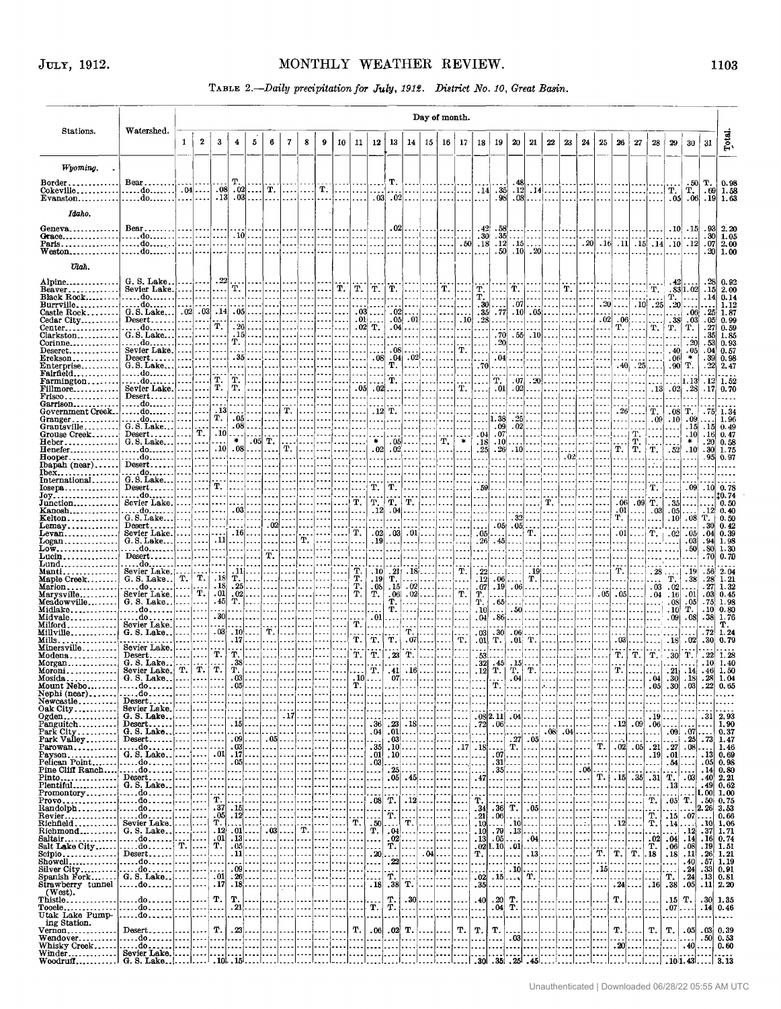### **1103**

 $\bar{\omega}$ 

## **TABLE** *2.-Daily precipitation for July. 1919* . *District No* . *IO. Great B&n.* .

| JULY, 1912.                                                                 |                                                                                                                                                                       |                                  |                                 |                                 |                         |                                      |                             |                      |                                       |                                  |                       |                                                      |                                      |                                  |                                                 |                      |                   | MONTHLY WEATHER REVIEW.<br>TABLE 2 .- Daily precipitation for July, 1912. District No. 10, Great Basin.                                                                                                                     |                                             |                                                    |                                                                                                                      |                                                |                            |                                         |                           |                                |                 |                                   |                                                 |                              |                                                                                             |                          | 1103                                                             |
|-----------------------------------------------------------------------------|-----------------------------------------------------------------------------------------------------------------------------------------------------------------------|----------------------------------|---------------------------------|---------------------------------|-------------------------|--------------------------------------|-----------------------------|----------------------|---------------------------------------|----------------------------------|-----------------------|------------------------------------------------------|--------------------------------------|----------------------------------|-------------------------------------------------|----------------------|-------------------|-----------------------------------------------------------------------------------------------------------------------------------------------------------------------------------------------------------------------------|---------------------------------------------|----------------------------------------------------|----------------------------------------------------------------------------------------------------------------------|------------------------------------------------|----------------------------|-----------------------------------------|---------------------------|--------------------------------|-----------------|-----------------------------------|-------------------------------------------------|------------------------------|---------------------------------------------------------------------------------------------|--------------------------|------------------------------------------------------------------|
|                                                                             |                                                                                                                                                                       |                                  |                                 |                                 |                         |                                      |                             |                      |                                       |                                  |                       |                                                      |                                      |                                  |                                                 |                      |                   | Day of month.                                                                                                                                                                                                               |                                             |                                                    |                                                                                                                      |                                                |                            |                                         |                           |                                |                 |                                   |                                                 |                              |                                                                                             |                          |                                                                  |
| Stations.                                                                   | Watershed.                                                                                                                                                            | $\mathbf{1}$                     | $\mathbf{2}$                    | 3                               | $\overline{\mathbf{4}}$ | 5                                    | 6                           | $\mathbf{7}$         | 8                                     | $\boldsymbol{9}$                 | 10 <sub>10</sub>      | $11\,$                                               | 12                                   | 13                               | 14                                              |                      |                   | $15 \mid 16 \mid 17$                                                                                                                                                                                                        | 18                                          | 19                                                 | $20\,$                                                                                                               | 21                                             | ${\bf 22}$                 | 23                                      | 24                        | 25                             | 26              | 27                                | 28 <sup>1</sup>                                 | 29                           | 30                                                                                          | 31                       | Total                                                            |
| Wyoming.                                                                    |                                                                                                                                                                       |                                  |                                 |                                 |                         |                                      |                             |                      |                                       |                                  |                       |                                                      |                                      |                                  |                                                 |                      |                   |                                                                                                                                                                                                                             |                                             |                                                    |                                                                                                                      |                                                |                            |                                         |                           |                                |                 |                                   |                                                 |                              |                                                                                             |                          |                                                                  |
| $\text{Border}\dots\dots\dots\dots$<br>$\text{Cokerille} \dots \dots \dots$ | $Bear \dots \dots$<br>. do. 04                                                                                                                                        |                                  |                                 | .08                             | т.                      | $.02$ T.                             |                             | إمعاد                |                                       | $\mathbb{Z}[\mathbf{\tilde{T}}]$ | $\cdots$              |                                                      |                                      | Т.<br>.                          |                                                 | .                    |                   | المتطلبينا                                                                                                                                                                                                                  |                                             | $-14$ $-35$                                        | - 48                                                                                                                 |                                                | $.12$ $.14$ $\ldots$       |                                         | 1. 1.                     | .                              | .               |                                   |                                                 |                              | $\left \begin{array}{c} \cdot & .50 \\ \text{T} & \text{T} \\ .05 & .06 \end{array}\right $ | т.                       | 0.98<br>$.69 \mid 1.58$                                          |
| $Evanston$                                                                  | . do. <del>.</del>                                                                                                                                                    |                                  | .                               | .13                             |                         | $.03$                                | $\cdots$                    |                      | .                                     | l.                               | .                     |                                                      |                                      | $.03$ .02                        |                                                 | .                    |                   |                                                                                                                                                                                                                             | .                                           | .98 <sub>1</sub>                                   |                                                                                                                      | $.08$                                          |                            |                                         |                           |                                |                 |                                   |                                                 |                              |                                                                                             |                          | $.19 \, 1.63$                                                    |
| Idaho.<br>$Geneva \ldots $                                                  | Bear                                                                                                                                                                  |                                  |                                 |                                 |                         |                                      |                             |                      |                                       |                                  |                       |                                                      |                                      | .02                              |                                                 |                      |                   |                                                                                                                                                                                                                             | .42                                         | . 58                                               |                                                                                                                      |                                                |                            |                                         |                           |                                |                 |                                   |                                                 |                              | $.10$ $.15$                                                                                 |                          |                                                                  |
| $Grace \ldots \ldots$<br>Paris                                              | . do.                                                                                                                                                                 |                                  |                                 | .                               | . 1                     | $.10$ . $\ldots$<br>$\cdots$         | .                           | -----                | .<br>                                 | l.<br>l                          |                       |                                                      |                                      | .<br>.                           | .                                               | الدلد<br>.           | $\cdots$<br>اء دو | .50 <sub>1</sub>                                                                                                                                                                                                            | .30 <sub>1</sub><br>$^{\thicksim}18$        |                                                    | $.35$<br>$.12 \cdot .15$                                                                                             |                                                |                            | .                                       |                           |                                |                 |                                   |                                                 |                              | $\vert$ $\vert$ .20 $\vert$ .16 $\vert$ .11 $\vert$ .15 $\vert$ .14 $\vert$ .10 $\vert$ .12 | .07 <sub>l</sub>         | $\begin{array}{ c} 0.93 & 2.20 \\ 30 & 1.05 \end{array}$<br>2.00 |
| $Weston \ldots \ldots$<br>Utah.                                             | . do.                                                                                                                                                                 |                                  |                                 |                                 |                         |                                      |                             |                      |                                       |                                  |                       |                                                      |                                      |                                  |                                                 |                      |                   |                                                                                                                                                                                                                             | $\overline{\phantom{a}}$                    |                                                    | $.50$ $.10$ $.20$ $\dots$ $\dots$                                                                                    |                                                |                            |                                         | .                         |                                |                 |                                   |                                                 |                              |                                                                                             |                          | .20 1.00                                                         |
| Alpine <sub>-----</sub> ---------                                           | G.S.Lake.                                                                                                                                                             |                                  |                                 | $\cdot$ 22                      |                         |                                      |                             |                      |                                       |                                  |                       |                                                      |                                      |                                  |                                                 |                      |                   |                                                                                                                                                                                                                             |                                             |                                                    |                                                                                                                      |                                                |                            |                                         |                           |                                |                 |                                   |                                                 | .42                          |                                                                                             |                          | $.28\vert\,$ $0.92\vert\,$                                       |
| $Beaver$<br>$Black Rock$                                                    | Sevier Lake.<br>do                                                                                                                                                    | .                                | . 1                             | $\cdots$<br>$\cdots$            | Т.<br>. 1               |                                      | .                           | ومجاوبك والمحاويدة   |                                       |                                  | T.<br>$\cdots$        |                                                      |                                      |                                  |                                                 |                      |                   | $\boxed{\mathbf{\hat{T}}.\hspace{1mm} \boxed{\mathbf{\hat{T}}.\hspace{1mm} \boxed{\mathbf{\hat{T}}.}} \hspace{1mm} \boxed{\mathbf{\hat{T}}.\hspace{1mm} \boxed{\mathbf{\hat{T}}.}} \hspace{1mm} \boxed{\mathbf{\hat{T}}.}}$ |                                             | .                                                  | $\left[\begin{array}{c} \ldots \end{array}\right]$ $\left[\begin{array}{c} \ldots \end{array}\right]$<br>$\dddot{o}$ | . 1                                            |                            | $\dots$ T.<br>.                         | .<br>.                    |                                | $\cdots$        |                                   |                                                 | т.                           |                                                                                             |                          | $.15 \, 2.00$<br>$.14 \, 0.14$                                   |
| $\texttt{Burville}\dots\dots\dots$<br>Castle Rock                           | $\frac{1}{\text{G.S. Lake}} \begin{bmatrix} \dots & 0 \\ 0 & 0 \end{bmatrix} \begin{bmatrix} \dots \\ 0 \\ 0 \end{bmatrix} \begin{bmatrix} \dots \\ 14 \end{bmatrix}$ |                                  |                                 |                                 | .                       | $.05$<br>.                           | . 1<br>$\cdots$<br>$\cdots$ |                      | $\ddotsc$                             |                                  | $\cdots$<br>$- - - -$ | .<br>.01                                             | $\sim$ $\sim$ $\sim$<br>$.03$        | .<br>.02                         | $.05 \cdot 01$                                  |                      |                   | .<br>.10                                                                                                                                                                                                                    | .30 <sub>1</sub><br>.35 <sub>1</sub><br>.28 | .                                                  | $.77$ , $.10$ , $.05$ , $.$                                                                                          |                                                |                            | .                                       | . 1                       | .02                            | $.20$           |                                   | $.10$ , $.25$ , $.20$ , $.0$<br>.<br>$.06$      | 38                           | . 06                                                                                        |                          | 1.12<br>$.25 \vert 1.87$                                         |
| Cedar City<br>Center <sub>-----</sub> ---------<br>Clarkston                | $Desert$<br>do<br>$G. S.$ Lake                                                                                                                                        | - - - - 1                        |                                 | Т.<br>.                         |                         | $.26$<br>$.15$                       | $\cdots$<br>$\cdots$        |                      |                                       |                                  | $\cdots$              |                                                      | $.02$ T.<br>.                        | .04<br>.                         |                                                 |                      |                   |                                                                                                                                                                                                                             | .<br>$\sim$                                 | $\cdots$                                           | $.70 \cdot .55 \cdot .10$                                                                                            | .                                              |                            |                                         | . 1                       | .<br>.                         |                 | T. []                             | $T_{\star}$                                     | $T_{\star}$                  | $\begin{bmatrix} .03 \\ T. \end{bmatrix}$                                                   |                          | $.05 \, 0.99$<br>0.59                                            |
| Corinne<br>${\rm Deseret.}\dots\dots\dots\dots$                             | do<br>Sevier Lake.                                                                                                                                                    |                                  |                                 |                                 |                         | T. i                                 |                             |                      |                                       |                                  |                       | .<br>.                                               |                                      |                                  | $.08$                                           |                      |                   | Т.                                                                                                                                                                                                                          | .<br>i a a                                  | $\sim$                                             | $.20$                                                                                                                |                                                |                            |                                         | .<br>l                    |                                |                 | $\cdots$                          |                                                 |                              | .20<br>. 40 . 05                                                                            | .041                     | $35$ 1.85<br>$.53 \vert 0.93$<br>0.57                            |
| Erekson<br>Enterprise                                                       | $Desert$<br>$G. S.$ Lake                                                                                                                                              |                                  | .<br>.                          | . 1<br>.                        | .                       | $.35$                                |                             |                      |                                       |                                  |                       | .<br>$\ddotsc$                                       | .08 <sub>1</sub><br>.                | .04<br>Т.                        | .021                                            |                      |                   | .                                                                                                                                                                                                                           | .70                                         | $\cdots$                                           | $.04$                                                                                                                | .                                              |                            | 1. . <b>.</b> .<br>$\sim$ $\sim$ $\sim$ | . 1                       | وحدوا والمحاورة                |                 |                                   | $.40$ , $.25$ , $.1$                            | - 06                         | $\ast$<br>$.90 \, T.$                                                                       | . 39 <br>.22             | 0.98<br>2.47                                                     |
| Fairfield<br>$\textbf{Farmington} \dots \dots$                              | . do.<br>. do…….                                                                                                                                                      | .                                |                                 | $\frac{T}{T}$ .                 | Т.                      |                                      |                             |                      |                                       |                                  |                       |                                                      | $\sim$ $\sim$                        |                                  |                                                 |                      |                   |                                                                                                                                                                                                                             |                                             | т.                                                 |                                                                                                                      |                                                | $.07.20$                   |                                         |                           |                                |                 |                                   | .                                               |                              | $  \dots   1.13  $                                                                          |                          | $.12 \, 1.52$                                                    |
| $\text{Fillmore}\ldots\ldots\ldots\ldots$<br>Frisco                         | Sevier Lake.<br>$Desert$                                                                                                                                              |                                  |                                 | $\cdots$                        | Ŧ.<br>.                 |                                      |                             |                      |                                       |                                  |                       | .05 <sub>1</sub>                                     | . 02                                 |                                  |                                                 |                      |                   |                                                                                                                                                                                                                             |                                             | - 01<br>.                                          | .                                                                                                                    | $.02$                                          |                            |                                         |                           |                                |                 | المممامية                         |                                                 |                              | $.13 \cdot .02 \cdot .28$                                                                   | $-17$                    | 0.70                                                             |
| Garrison<br>Government Creek                                                | . do<br>do                                                                                                                                                            |                                  |                                 | $\ddotsc$                       | .<br>$.13$              | .                                    |                             | т.                   |                                       |                                  |                       |                                                      |                                      | .12 T.                           |                                                 |                      |                   |                                                                                                                                                                                                                             |                                             |                                                    |                                                                                                                      |                                                |                            |                                         |                           |                                |                 | $.26$                             | Т.                                              |                              | $.08$ T.                                                                                    |                          | $.75 \, 1.34$                                                    |
| Granger<br>$Grantsville$                                                    | $\dots$ do<br>$G. 8.$ Lake $ \ldots$                                                                                                                                  |                                  |                                 | $T_{\star}$<br>.<br>.10         | .05<br>.08              |                                      |                             |                      |                                       |                                  |                       |                                                      | $\sim$ $\sim$                        |                                  |                                                 |                      |                   |                                                                                                                                                                                                                             |                                             | .07                                                | $ 1.38 $ $.25 $<br>$.09 \cdot .02$                                                                                   | .                                              |                            |                                         |                           |                                | . 1             | . 1                               |                                                 |                              | $.09$ $.10$ $.09$<br>.15                                                                    |                          | 1.96<br>$.15 \, 0.49$                                            |
| Grouse Creek<br>Heber<br>Henefer                                            | $G.S.$ Lake<br>dol                                                                                                                                                    | $\sim$                           | .                               | .<br>.10                        | *<br>.08 <sub>1</sub>   | $\ddotsc$                            | $.05 $ T.<br>.              | т.                   |                                       |                                  |                       | $\overline{\phantom{a}}$<br>$\overline{\phantom{a}}$ | $\frac{1}{2}$                        | $.02$ $.02$ $.02$                | $.05$                                           |                      | т.<br>.           | $\ast$                                                                                                                                                                                                                      | .04 <sub>1</sub><br>.18 <sub>1</sub><br>.25 |                                                    | $.10$<br>$.26 \cdot 10$                                                                                              |                                                |                            |                                         |                           |                                | т.              | т.<br>T. I                        | $\mathbf{T}$ , $\vert$                          | .52                          | .10<br>$\ast$<br>.10                                                                        | - 30                     | .16 0.47<br>. 20 0.58<br>1.75                                    |
| Hooper.<br>$\Delta$ lbapah $(near)$                                         | $Desert$                                                                                                                                                              |                                  |                                 | <br>$\sim$ $\sim$ $\sim$        | .                       |                                      |                             |                      |                                       |                                  |                       |                                                      | .                                    |                                  |                                                 |                      |                   |                                                                                                                                                                                                                             |                                             |                                                    |                                                                                                                      |                                                |                            |                                         |                           |                                |                 |                                   |                                                 |                              |                                                                                             | - 951                    | 0.97                                                             |
| Ibex<br>International                                                       | $\dots$ do $\dots$<br>$G.S.$ Lake                                                                                                                                     | <b>SALA</b> - - -                |                                 |                                 |                         |                                      |                             |                      |                                       |                                  |                       |                                                      |                                      |                                  |                                                 |                      |                   |                                                                                                                                                                                                                             |                                             |                                                    |                                                                                                                      |                                                |                            |                                         |                           |                                |                 |                                   |                                                 |                              |                                                                                             |                          |                                                                  |
| Iosepa<br>Joy                                                               | $Desert$<br>do                                                                                                                                                        |                                  | .                               |                                 | $T. \mid $<br>.         |                                      |                             |                      |                                       |                                  |                       |                                                      | т.                                   | Т.                               |                                                 |                      |                   |                                                                                                                                                                                                                             | - 59                                        |                                                    |                                                                                                                      |                                                |                            |                                         |                           |                                |                 |                                   | Т.                                              |                              |                                                                                             | .09  .10                 | 0.78<br><b>10.74</b>                                             |
| Junction<br>Kanosh                                                          | Sevier Lake.<br>. do.                                                                                                                                                 | .                                |                                 | .<br>. 1                        | <br>.03 <sub>1</sub>    |                                      |                             |                      |                                       |                                  |                       | т.<br>.                                              | Т.                                   | T.<br>$.12 \cdot .04$            | т.                                              |                      |                   |                                                                                                                                                                                                                             |                                             |                                                    |                                                                                                                      |                                                | т.<br>$\cdots$             |                                         |                           |                                | .06<br>.01      | $.09$ T.                          | .03 <sub>1</sub>                                | .35<br>.05                   |                                                                                             |                          | 0.50<br>$.12 \, 0.40$                                            |
| Kelton<br>Lemay                                                             | $G.S.$ Lake<br>$Desert$<br>Sevier Lake.                                                                                                                               |                                  | .                               | .                               | .<br>.                  |                                      | .02 <sub>1</sub>            |                      |                                       |                                  |                       | т.                                                   | $\ddotsc$                            | $.02 \cdot .03 \cdot .01 \cdot $ |                                                 |                      | $\cdots$          |                                                                                                                                                                                                                             | .                                           | - 051                                              | $.32$<br>$\cdot$ 05 $\cdot$ .                                                                                        | т.                                             |                            |                                         | $\ddotsc$                 |                                | т.<br>.01       |                                   | $\ldots$ T. $\ldots$ 02                         | .10                          | .08<br>.05                                                                                  | Т.                       | 0.50<br>.30 0.42<br>0.39                                         |
| Levan<br>$Logan$<br>$_{\text{Low}}$                                         | $G.S.$ Lake $ \ldots \ldots$                                                                                                                                          |                                  |                                 | - 11                            |                         | $.16$<br>.                           |                             |                      | т.                                    |                                  |                       | .                                                    | . 19<br>$\ddotsc$                    |                                  | .                                               |                      |                   |                                                                                                                                                                                                                             | .05<br>.26                                  | . 45                                               | ا۔ ۔ ۔                                                                                                               |                                                |                            |                                         |                           |                                |                 |                                   |                                                 |                              | .03<br>.50 <sub>1</sub>                                                                     | .04 <sub>1</sub>         | $.94 \, 1.98$<br>.80 1.30                                        |
| Lucin.<br>Lund,                                                             | $Desert$<br>$\ldots$ .do                                                                                                                                              |                                  | المماليدة                       |                                 | $\ddotsc$               |                                      | т.                          |                      |                                       |                                  |                       |                                                      |                                      |                                  |                                                 |                      |                   |                                                                                                                                                                                                                             |                                             |                                                    |                                                                                                                      |                                                |                            |                                         |                           |                                |                 |                                   |                                                 |                              |                                                                                             | .70                      | 0.70                                                             |
| Manti.<br>$Maple Creek$                                                     | Sevier Lake.  <br>$G. S.$ Lake                                                                                                                                        |                                  | T.  T.                          | $\cdots$<br>.18 <sub>l</sub>    | . 11 <br>T.             |                                      | .                           |                      |                                       |                                  |                       | $\frac{T}{T}$<br>$\frac{T}{T}$ ,                     | .10 <sub>1</sub><br>.19 <sub>1</sub> | Т.                               | $.21 \mid .18 \mid \ldots$                      |                      |                   | Т.<br>$\ddotsc$                                                                                                                                                                                                             | .22.                                        | $.12 \cdot .06$                                    | المحتمل بالمنا                                                                                                       |                                                | $.19$<br>$T. \vert \ldots$ |                                         |                           |                                | Т.              |                                   | .28                                             | т.                           | .19<br>.38 <sub>1</sub>                                                                     | - 56<br>.28 <sub>1</sub> | 2.04<br>1.21                                                     |
| Marion<br><u>.</u><br>$Marys$ ville                                         | . do<br>Sevier Lake.                                                                                                                                                  | $\sim$ $\sim$ $\sim$<br>$\cdots$ | $\dddot{T}$ .                   | .18 <sub>1</sub><br>.01         |                         | $.25$<br>$.02$                       | .<br>.                      |                      | $\cdots$                              |                                  | .                     |                                                      | .05<br>т.                            |                                  | $.15 \cdot .02$<br>$.06 \, 02 \ldots$           |                      |                   | T.                                                                                                                                                                                                                          | т.                                          | $.07$ $.19$ $.06$ $\ldots$ $\ldots$                |                                                                                                                      | . 1.                                           | .                          | .<br>.                                  | .                         |                                | $.05$ . 05      | $\ddotsc$<br>.                    |                                                 | .03.02<br>$.04$ $.16$        | .01                                                                                         |                          | $-27$ 1.32<br>$.03 \, 0.45$                                      |
| Meadowville<br>Midlake <i></i>                                              | G. S. Lake.     <br>.do. .                                                                                                                                            |                                  |                                 |                                 | $.45$ T.                |                                      | .                           |                      |                                       |                                  |                       | $\sim$ $\sim$                                        | .                                    |                                  | $\left \frac{T}{T}\right $ $\left \dots\right $ |                      |                   | $\ddotsc$                                                                                                                                                                                                                   | т.<br>.10                                   |                                                    | $.65$<br>$.50$                                                                                                       |                                                |                            |                                         |                           | $\cdots$                       |                 |                                   | . 081                                           | .10                          | .05                                                                                         |                          | .75 1.98<br>$.10\, 0.80$                                         |
| $Midvalue$<br>Milford                                                       | do<br>Sevier Lake.                                                                                                                                                    | $\cdots$                         | $\ddotsc$<br>.                  | .30<br>.03 <sub>1</sub>         | .                       | المعما<br>$\cdots$                   |                             | .                    | $\mathbb{T}$ : $\mathbb{C}$ :         | l.                               |                       | т.                                                   | .01<br>.                             | . 1                              | .<br>$\overline{T}$ .                           |                      |                   |                                                                                                                                                                                                                             | .04                                         | المحمالات                                          | $.86$<br>.                                                                                                           |                                                | $\cdots$<br>               | $\cdots$<br>.                           | .                         |                                |                 |                                   |                                                 | .09 <sub>1</sub>             | .08 <sub>1</sub>                                                                            |                          | $-38$ 1.76<br>Т.<br>$.72 \,   1.24$                              |
| Millville<br><b>Mills</b>                                                   | G. S. Lake<br>Sevier Lake.                                                                                                                                            |                                  | المحمولات<br>الممتما لمناد<br>. | .<br>.                          |                         | $.10$<br>. 17<br>1.                  | I.                          | .<br>.               | .                                     | I.                               | .<br>.<br>.           | Т.                                                   | T. I                                 | T.1                              |                                                 | لأعادت<br>$\cdot$ 07 | .<br>.            | т.                                                                                                                                                                                                                          | .03 <sub>l</sub><br>.01                     | $-30$<br>T.                                        | $.06$<br>$.01$ T.<br>.                                                                                               |                                                | I.<br>.<br>.               | .                                       | .<br>.                    | .<br>.<br>.                    | لأناد           | $\overline{\phantom{a}}$<br>$.03$ | $\left  \ldots \right $ $\left  \ldots \right $ |                              | .02                                                                                         |                          | $.30 \, 0.79$                                                    |
| $Minersville$<br>$Modena$<br>$Morgan$                                       | Desert<br>G. S. Lake                                                                                                                                                  | اء دوما                          |                                 | т.<br>$\sim$ $\sim$             | Т.                      | $\cdots$<br>. 38                     | . !                         | . 1.                 |                                       |                                  | .<br>$\ddotsc$        | т.<br>$\ddotsc$                                      | T. I                                 | .23 <sub>1</sub>                 | т.                                              | <br>!<br>.           | .<br>1.<br>. 1    | .<br>.<br>$\cdots$                                                                                                                                                                                                          | $\ddots$<br>.32 <sub>1</sub>                | . 1<br>$.53$<br>.45                                | .<br>.15 <sub>1</sub>                                                                                                | .                                              | .<br>المتمعا               | .<br>$\cdots$                           | 1.<br>.                   | .<br>.                         | T. I            | .                                 | $T.$ $T.$ 30<br>.                               |                              | Т.                                                                                          |                          | $.22 \, 1.28$<br>$.10 \, 1.40$                                   |
| Moroni<br>Mosida                                                            | Sevier Lake.<br>G. S. Lake                                                                                                                                            |                                  | T.  T. <br>.                    | т.<br>.                         | т.                      | .<br>$.03$                           |                             | .                    | .                                     | وموج المملح                      | ı.                    | $\ddotsc$                                            | т.  <br>$.10$                        |                                  | $.41 \cdot 16$<br>$07$                          |                      |                   | .  <br>.                                                                                                                                                                                                                    | .12<br>.                                    | T.                                                 | T.                                                                                                                   | Т.<br>$.04$                                    | - - - -  <br>              | .<br>.                                  | $\cdots$<br>$\sim$ $\sim$ | .<br>.                         | .               | $T.$                              | .<br>.04                                        | .21<br>.30 <sub>1</sub>      | .14<br>.18                                                                                  |                          | .46 1.50<br>.28 1.04                                             |
| Mount Nebo<br>Nephi (near)                                                  | . do <i>.</i><br>. do                                                                                                                                                 |                                  | احتذا تصا<br>.                  | .<br>$\cdots$                   |                         | $.05$<br>.                           |                             | $\cdots$<br>$\cdots$ | <br>$\cdots$                          | $\cdots$<br>. !                  | .<br>.                | т.<br>$\ddotsc$                                      |                                      | $\sim$ $\sim$                    | ومعارضه والموار                                 | ولواديه              | .                 | .                                                                                                                                                                                                                           | $\ddotsc$<br>$\ddotsc$                      | $T.$<br>.                                          |                                                                                                                      | 1.<br>.                                        | بالمائه                    |                                         |                           |                                | .               |                                   | .05<br>.                                        | .30 <sub>1</sub><br>.        | .03 <sub>l</sub>                                                                            | $\ddotsc$                | $.22 \mid 0.65$<br>.                                             |
| Newcastle<br>$0$ ak City                                                    | $Desert$<br>Sevier Lake.                                                                                                                                              |                                  | الممتازعتية<br>.                | $\overline{\phantom{a}}$<br>.   |                         | المتمار والمحاربين<br>المماجدة المحا |                             | المتحامل             | $\cdots$<br>.                         | .                                | $\cdots$<br>.         | $\ddotsc$<br>$\ddotsc$                               | $\cdots$                             | $\sim$ $\sim$<br>للديد           | I.<br>l.                                        | $\sim$ $\sim$<br>.   |                   |                                                                                                                                                                                                                             |                                             |                                                    | .                                                                                                                    | i<br>.                                         | $\cdots$                   |                                         |                           |                                |                 |                                   |                                                 |                              |                                                                                             | ويدد                     | .                                                                |
| $Ogden \ldots \ldots$<br>Panguitch                                          | G. S. Lake<br>Desert                                                                                                                                                  |                                  | المعمل ممما<br>.                | .<br>$\cdots$                   | $\ddotsc$               | . 1<br>. $15$ .                      |                             | $.17$                | $\sim$ $\sim$ $\sim$                  | .<br>.                           | .<br>.                | .<br>.                                               |                                      | $.36$ $.23$ $.18$ $$ $$          |                                                 | $\cdots$             | $\cdots$          | .<br>.                                                                                                                                                                                                                      |                                             | $.08 2.11 $ $.04 $<br>. $72$ . $06$                |                                                                                                                      | .                                              | .                          | .<br>.                                  | .<br>                     | . 1                            |                 | $\sim$<br>$.12 \, .09$            | .19<br>.06 <sub>1</sub>                         |                              |                                                                                             | . 31<br>$\ddotsc$        | 2.93<br>1.90                                                     |
| Park City<br>Park Valley                                                    | G. S. Lake<br>Desert                                                                                                                                                  |                                  | .<br>.                          | $\ddotsc$                       |                         | -    <br>$.09$ $.05$<br>$.03$        |                             | .<br>$\cdots$        | $\cdots$<br>.                         | .<br>!<br>$\cdots$               | $\cdots$<br>.<br>.    | .<br>.                                               | .04<br>.35 <sub>1</sub>              |                                  | $.01$ $  $<br>$.03$<br>. $10$ .                 |                      | .<br>$\cdots$     | $\ddotsc$                                                                                                                                                                                                                   | $\cdots$                                    | اددت                                               |                                                                                                                      | $.27 \cdot 05$<br>$T,$ $\left  \ldots \right $ |                            | ----                                    | .                         | .<br>Т.                        | .<br>المحاويات  | $.02 \, .05$                      | .<br>.<br>.21                                   | . 1                          | .09.07<br>.25<br>$.27-.08$                                                                  | $\ddotsc$                | 0.37<br>$.73 \, 1.47$                                            |
| Parowan<br>Payson                                                           | do                                                                                                                                                                    |                                  |                                 | - 01<br>$\sim$                  |                         | $.17$ $ $<br>$.05$                   |                             |                      |                                       | $\cdots$                         |                       | .<br>.                                               | .01<br>.03                           |                                  | $.10$<br>.                                      | .                    |                   | . 17<br>$\ddotsc$<br>$\ddotsc$                                                                                                                                                                                              | $\sim$ $\sim$ $\sim$<br>$ -$                | .181                                               | $\cdot$ 07 $\ldots$ $\ldots$<br>$.31$                                                                                | .                                              | .<br>.                     | <br>.<br>.                              | .<br>.<br>.               | .<br>.                         | .<br>.          |                                   | .19<br>                                         | $.01$                        | $.54$                                                                                       |                          | 1.46<br>.13 0.69<br>$.05 \, 0.98$                                |
| Pine Cliff Ranch<br>Pinto                                                   |                                                                                                                                                                       |                                  |                                 | .<br>$\ddotsc$                  |                         | .<br>. 1 1                           |                             | .                    | .<br>.                                |                                  |                       |                                                      | ---1<br>$\sim$                       | .25                              | .<br>$.05$ . 45                                 | .                    |                   | $\ddotsc$                                                                                                                                                                                                                   | .<br>. 47                                   |                                                    |                                                                                                                      |                                                |                            |                                         | .06 <sub>l</sub><br>.     | T. I                           |                 | $.15 \, .35$                      | .31                                             | т.                           | .<br>.03                                                                                    |                          | .14 0.80<br>$.40 \vert 2.21$                                     |
| Plentiful<br>Promontory                                                     |                                                                                                                                                                       |                                  |                                 | $\ddotsc$<br>$\ddotsc$          | .                       | - - - -   <b>.</b> - - .<br>.        |                             | I.<br>المحار         | المحاد                                |                                  |                       | .                                                    | $\sim$                               | .                                | .                                               | .                    |                   | $\ddotsc$                                                                                                                                                                                                                   | $\ddotsc$                                   |                                                    | .<br>.                                                                                                               |                                                | .<br>.                     |                                         | .                         | .  <br>.                       |                 | $\ddotsc$                         | .                                               |                              | $.13$                                                                                       |                          | $.49 \vert 0.62$<br> 1.00  1.00                                  |
|                                                                             |                                                                                                                                                                       |                                  |                                 | т.                              |                         | .                                    |                             |                      | .<br>                                 | .                                |                       | .                                                    | .08 <sub>1</sub>                     | т.                               | $\vert$ . $12\vert$ $\vert$<br>.                |                      | .                 | لأعاما<br>.                                                                                                                                                                                                                 | Т.<br>. 341                                 | .                                                  | $.36$ T. $.05$                                                                                                       | $\cdots$                                       | .                          |                                         |                           | .  <br>. <b>.</b> . <b>.</b> . |                 | $\cdots$<br>$\ddotsc$             | т.                                              | .05 <sub>1</sub><br>$\cdots$ |                                                                                             |                          | T.   .50   0.75<br>$2.26 \, 3.53$                                |
| Revier<br>$Richard$                                                         | . do <i>.</i> .                                                                                                                                                       |                                  |                                 | .05<br>т.                       |                         | .                                    |                             | .                    | .<br>.                                | .                                | <br>$\cdots$          | т.                                                   | . 50                                 | Т.<br>المعا                      | .<br>Т.                                         | .<br>.               | .                 | .<br>.                                                                                                                                                                                                                      | .21<br>.10 <sub>1</sub>                     | $\begin{bmatrix} .06 \\ .10 \end{bmatrix}$         |                                                                                                                      |                                                | .<br> .   <i>. .</i>       |                                         | $\ddotsc$<br>.            |                                | .<br>$.12$      | .                                 | т.<br>T.                                        |                              | $.15 \cdot .07$<br>$.14$                                                                    | .10                      | 0.66<br>1.06                                                     |
| $Richard$                                                                   | G. S. Lake.                                                                                                                                                           |                                  | .                               | .12 <sub>1</sub><br>. 01 <br>т. |                         | $.01$ $.03$<br>$.13$                 |                             |                      | т.<br>----                            | .                                | .  <br>               | .<br>.                                               | T.  <br>$\ddotsc$                    |                                  | . 02                                            |                      |                   | .<br>.                                                                                                                                                                                                                      |                                             | $.10$ $.79$ $.13$ $\ldots$<br>$.13$ $.05$ $\ldots$ |                                                                                                                      |                                                | . 1<br>$.04$               | .<br>.                                  | .<br>.                    | .<br>. i                       | .  <br>.        | .                                 | .<br>.02                                        | $\cdots$<br>.04 <sub>1</sub> | .14                                                                                         |                          | $.12 \cdot 37 \cdot 1.71$<br>$.16 \vert 0.74$                    |
| Salt Lake City<br>$Seipio$<br>Showell                                       | .J. do.                                                                                                                                                               |                                  | .<br>.<br>.                     | ٠.<br>$\ddotsc$                 |                         | . 05<br>. 11<br>. 1.                 |                             | $\cdots$<br>l        | $\sim$ $\sim$ $\sim$<br>$\cdots$<br>. | .<br>.<br>.                      | .<br>.<br>.           | .                                                    | . 20<br>---1                         | Т.<br>. 22                       |                                                 | .<br>.   . 04 .<br>. |                   | .<br>$\ddotsc$                                                                                                                                                                                                              | Т.<br>$\cdots$                              | $.02 1.10 $ $.01 $<br>.                            |                                                                                                                      | - 13<br>.                                      | .  <br>.                   | .<br>$\cdots$                           | $\ddotsc$<br>.            | т.                             | т.<br>$\ddotsc$ | T.<br>.                           | Т.<br>.18<br>.                                  | .06<br>.18<br>.              | .08<br> .11 <br>.40                                                                         |                          | $.19 \vert 1.51$<br>.26 1.21<br>$.57$ 1.19                       |
| Silver City<br>Spanish Fork                                                 | . do  <br>G. S. Lake                                                                                                                                                  |                                  | .<br>.                          | .01                             |                         | . 09<br>$.26$                        |                             | المحما<br>.          | $\cdots$<br>l.                        | .<br>.                           | .<br>$\cdots$         |                                                      |                                      | т.                               |                                                 | .<br>.               |                   |                                                                                                                                                                                                                             | $ -$<br>. 021                               | .                                                  | $\ldots$ . 10<br>.15                                                                                                 | т.                                             | .  <br>.                   | .                                       | .<br>.                    | . 15 .                         | .               | .<br>$\ddotsc$                    | $\cdots$                                        | $\ddotsc$<br>Т.              | .24<br>.24                                                                                  |                          | .33 0.91<br>$.13 \mid 0.81$                                      |
| Strawberry tunnel<br>$(West)$ .                                             | . do                                                                                                                                                                  |                                  | .                               | . 17                            |                         | $.18$                                |                             | .                    | .                                     | .                                |                       |                                                      | .18 <sub>1</sub>                     | .38 <sub>1</sub>                 | т.                                              | !---- ----           |                   | .                                                                                                                                                                                                                           | .35 <sub>1</sub>                            | .                                                  |                                                                                                                      | .                                              | .                          | .                                       | .                         | .                              | $.24$           |                                   | .16                                             | .38 <sub>1</sub>             | .05                                                                                         |                          | $.11 \, 2.20$                                                    |
| $\texttt{Thistle} \dots \dots \dots \dots$<br>Tooele                        | . do                                                                                                                                                                  |                                  | .                               | т.<br>.                         | т.<br>.21               | . 1                                  | $\sim$ - $\sim$             |                      |                                       |                                  |                       |                                                      | Т.                                   | т.<br>Т.                         |                                                 | $.30$<br>.           |                   | $\ddotsc$                                                                                                                                                                                                                   | .40<br>$\ddotsc$                            | $.20 \text{ T}$ .<br>$.04$ T.                      |                                                                                                                      | .<br>.                                         | .                          |                                         | $\cdots$                  |                                | т.<br>.         | <br>.                             | .<br>$\cdots$                                   | .15<br>.07 <sub>l</sub>      | т.<br>.                                                                                     | .30 <sub>l</sub><br>.14  | 1.35<br>0.46                                                     |
| Utak Lake Pump-<br>ing Station.                                             | . do                                                                                                                                                                  |                                  | .                               | $\ddotsc$                       | $\ddotsc$               |                                      |                             |                      |                                       |                                  |                       |                                                      |                                      | .                                |                                                 |                      |                   |                                                                                                                                                                                                                             | 444                                         |                                                    |                                                                                                                      |                                                | $\overline{\phantom{a}}$   |                                         |                           |                                |                 |                                   |                                                 | .                            |                                                                                             | .                        | .                                                                |
| $Vernon$<br>Wendover                                                        | . do  .  .                                                                                                                                                            |                                  |                                 | т.<br>.                         | .                       | . 23<br>ومحواميت                     |                             | .                    | $\cdots$                              | .                                | .                     | т.<br>.                                              | .06<br>$\ddotsc$                     | .02 <sub>1</sub><br>$\cdots$     | т.                                              | <br>.                | $\ddotsc$         | т.<br>$\ddotsc$                                                                                                                                                                                                             | т. (<br>.                                   | т.                                                 |                                                                                                                      | .                                              | .                          | .                                       |                           |                                | Т.              | .                                 | Т.<br>.                                         | т.<br>.                      | .05<br>$\ddotsc$                                                                            |                          | .03 0.39<br>$.50\,0.53$                                          |
| Whisky Creek<br>$Winder$                                                    | . do    <br>Sevier Lake                                                                                                                                               |                                  | $\cdots$                        | $\sim$<br>. 101.                | $\ddotsc$<br>$.15$      | .                                    |                             | - - - -              | .                                     | .                                |                       | $\ddot{\phantom{a}}$                                 |                                      |                                  | .                                               | ---- ---             |                   |                                                                                                                                                                                                                             | $\sim$ $\sim$                               | $\ddotsc$<br>$.301-.351.251$                       | .                                                                                                                    | .<br>. 45                                      | .                          | .                                       | .                         |                                | .20             |                                   |                                                 | .                            | $.40$<br>$.101.43$                                                                          |                          | 0.60<br>3.13                                                     |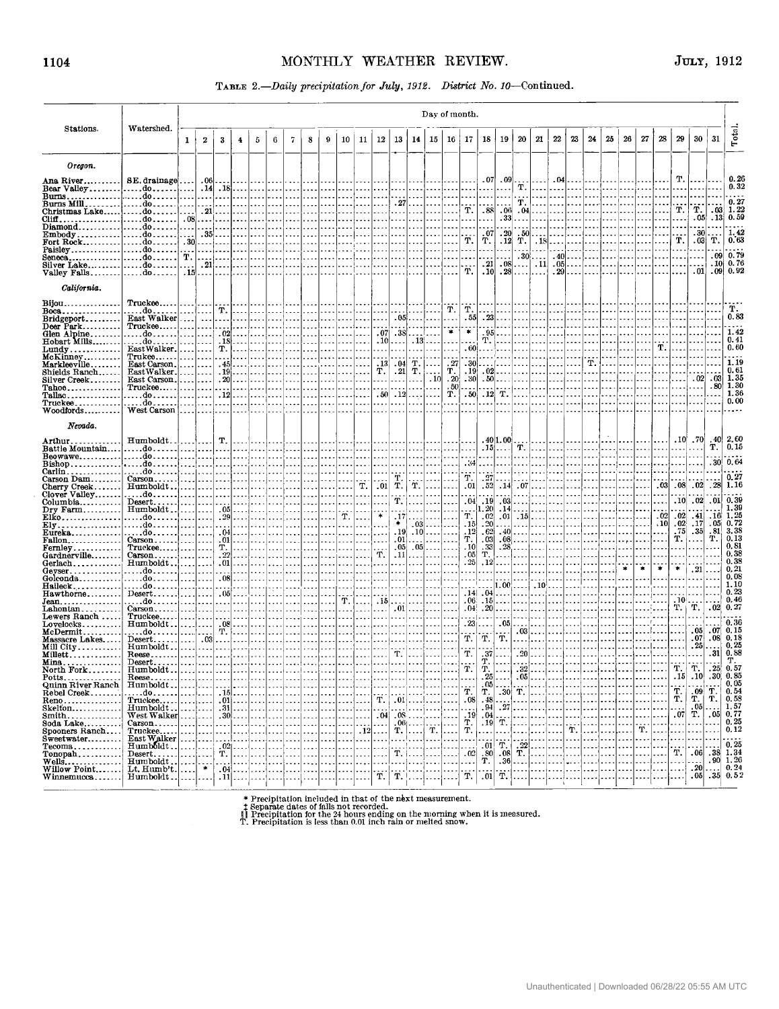### TABLE 2 .- Daily precipitation for July, 1912. District No. 10-Continued.

|                                                        |                                       |                          | Day of month.              |                                                  |                |               |          |                |                          |                          |          |               |                          |                          |                                                                                     |                      |               |                                              |                             |                                                                                         |                          |                  |                |                               |            |        |                |                                      |               |                              |                                          |                                      |                                                                                                            |
|--------------------------------------------------------|---------------------------------------|--------------------------|----------------------------|--------------------------------------------------|----------------|---------------|----------|----------------|--------------------------|--------------------------|----------|---------------|--------------------------|--------------------------|-------------------------------------------------------------------------------------|----------------------|---------------|----------------------------------------------|-----------------------------|-----------------------------------------------------------------------------------------|--------------------------|------------------|----------------|-------------------------------|------------|--------|----------------|--------------------------------------|---------------|------------------------------|------------------------------------------|--------------------------------------|------------------------------------------------------------------------------------------------------------|
| Stations.                                              | Watershed.                            | $\mathbf{1}$             | $\boldsymbol{2}$           | 3                                                | 4              | 5             | 6        | $\overline{7}$ | 8                        | 9                        | 10       | 11            | 12                       | 13                       | 14                                                                                  | 15                   | 16            | 17                                           | 18                          | 19                                                                                      | 20                       | 21               | $22\,$         | 23                            | 24         | 25     | 26             | 27                                   | 28            | 29                           | 30                                       | 31                                   | Total.                                                                                                     |
| Oregon.                                                |                                       |                          |                            |                                                  |                |               |          |                |                          |                          |          |               |                          |                          |                                                                                     |                      |               |                                              |                             |                                                                                         |                          |                  |                |                               |            |        |                |                                      |               |                              |                                          |                                      |                                                                                                            |
| Ana River                                              | SE. drainage                          |                          | .06                        |                                                  |                |               |          |                |                          |                          |          |               |                          |                          |                                                                                     |                      |               |                                              | .07                         | .09                                                                                     |                          |                  |                | $.04$                         |            |        |                |                                      |               | т.                           |                                          |                                      | 0.26                                                                                                       |
| Bear Valley                                            | . do <b>. .</b>                       |                          | .14<br>.                   | .                                                | $.18$          |               |          |                |                          | .<br>$\overline{a}$      |          |               |                          |                          |                                                                                     |                      |               | .                                            | $\sim$<br>$\cdots$          | .<br>.                                                                                  | т.                       | .<br>.           | $\cdots$       |                               |            |        |                |                                      |               |                              |                                          |                                      | 0.32                                                                                                       |
| Burns Milldo                                           |                                       |                          | i i s                      | $\ddotsc$                                        |                |               |          |                |                          | $\cdots$                 |          |               |                          | .27 <sub>1</sub>         |                                                                                     |                      |               |                                              |                             |                                                                                         | т.                       |                  |                |                               |            |        |                |                                      |               |                              |                                          |                                      | 0.27                                                                                                       |
| Christmas Lakedo                                       |                                       | .08                      | .21                        | .<br>$\ddot{\phantom{a}}$                        |                |               |          |                |                          |                          |          |               |                          |                          |                                                                                     |                      |               | Т.<br>.                                      | .88<br>$\ddot{\phantom{a}}$ | .06 <sub>1</sub><br>.33                                                                 | .                        | $.04$            |                |                               |            |        |                |                                      |               | т.                           | т.<br>.05                                | .03 <sub>1</sub><br>.13 <sub>1</sub> | 1.22<br>0.59                                                                                               |
| $Diamond$ do                                           |                                       |                          | .<br>$\ddotsc$             |                                                  |                |               |          |                |                          |                          |          |               |                          |                          |                                                                                     |                      |               |                                              | $\sim$                      |                                                                                         |                          |                  |                |                               |            |        |                |                                      |               |                              |                                          |                                      |                                                                                                            |
| $Embody$ do                                            |                                       |                          |                            | $.35$                                            |                |               |          |                |                          |                          |          |               |                          |                          |                                                                                     |                      |               | .<br>Т.                                      | .07<br>т.                   | .20 <sub>1</sub><br>.12 <sub>1</sub>                                                    | .50 <sub>1</sub><br>T. I |                  | $.18$          |                               |            |        |                |                                      |               | ï.                           | .30<br>.03 <sub>1</sub>                  | т.                                   | 1,42<br>0.63                                                                                               |
| Fort Rock do<br>Paisley do                             |                                       | .30                      | .<br>$\sim$                | $\sim$                                           |                |               |          |                |                          |                          |          |               |                          |                          |                                                                                     |                      |               |                                              | $\ddotsc$                   | $\cdots$                                                                                |                          |                  |                |                               |            |        |                |                                      |               |                              |                                          |                                      |                                                                                                            |
| Seneca do                                              |                                       | т.                       | i e el                     | $\sim$                                           | .              |               |          |                |                          |                          |          |               |                          |                          |                                                                                     |                      |               |                                              | لمعا<br>. 21                | .08                                                                                     | $.30$                    |                  |                | $.40$<br>$.11$ . 05           |            |        |                |                                      |               |                              |                                          | .101                                 | $.09 \, 0.79$<br>0.76                                                                                      |
| $Silver Lake$ do<br>Valley Falls $ $ $d$ o             |                                       | . <b>.</b><br>. 15       | .21<br>$\cdots$            | $\overline{\phantom{a}}$<br>$\ddot{\phantom{a}}$ | .              |               |          |                |                          |                          |          |               |                          |                          |                                                                                     |                      |               | الداماء<br>т.                                |                             | $.10 \mid .28$                                                                          | . 1<br>.                 | i a al           |                | $.29$                         |            |        |                |                                      |               |                              | .01                                      |                                      | $.09 \, 0.92$                                                                                              |
| California.                                            |                                       |                          |                            |                                                  |                |               |          |                |                          |                          |          |               |                          |                          |                                                                                     |                      |               |                                              |                             |                                                                                         |                          |                  |                |                               |            |        |                |                                      |               |                              |                                          |                                      |                                                                                                            |
| Bijou                                                  | Truckee                               |                          |                            |                                                  |                |               |          |                |                          |                          |          |               |                          |                          |                                                                                     |                      |               |                                              |                             |                                                                                         |                          |                  |                |                               |            |        |                |                                      |               |                              |                                          |                                      |                                                                                                            |
| $Boca$                                                 | . do<br>East Walker                   |                          | .                          | т.                                               | $\cdots$       |               |          |                |                          |                          |          |               |                          |                          | $.05$                                                                               |                      | т.<br>.       | т.<br>. 55                                   | $\sim$ $\sim$               | $.23$                                                                                   |                          |                  |                |                               |            |        |                |                                      |               |                              |                                          |                                      | т.<br>0.83                                                                                                 |
| $Bridgeport$<br>Deer Park                              | Truckee                               |                          | $\sim$ .                   | $\ddotsc$<br>$\sim$ $\sim$                       | $\cdots$       |               |          |                |                          |                          |          |               |                          |                          |                                                                                     |                      | .             | $\sim$ $\sim$                                | $\sim$ $\sim$ $\sim$        |                                                                                         |                          |                  |                |                               |            |        |                |                                      |               |                              |                                          |                                      |                                                                                                            |
| Glen Alpine                                            | . do                                  |                          |                            | .02 <sub>1</sub>                                 |                |               |          |                |                          |                          |          |               | .07 <sub>1</sub><br>. 10 | - 381                    |                                                                                     | . 1                  | $\bullet$     | $\bullet$                                    |                             | $.95$                                                                                   |                          |                  |                |                               |            |        |                |                                      |               |                              |                                          |                                      | 1.42<br>0.41                                                                                               |
| Hobart Mills<br>$Lundy$                                | . do<br>East Walker.                  |                          | $\sim$                     | . 18 <br>т.                                      | .              |               |          |                |                          |                          |          |               |                          | .                        |                                                                                     | $.13$                | .             | .60 <sub>1</sub>                             |                             | $T.$                                                                                    |                          |                  |                |                               |            |        |                |                                      | т.            |                              |                                          |                                      | 0.60                                                                                                       |
| $McKinney$                                             | Trukee                                |                          |                            | $\sim$ $\sim$                                    |                |               |          |                |                          |                          |          |               |                          |                          | т.                                                                                  |                      | .27           | .30                                          |                             |                                                                                         |                          |                  |                |                               | т.         |        |                |                                      |               |                              |                                          |                                      | 1.19                                                                                                       |
| Markleeville<br>Shields Ranch                          | East Carson.<br>EastWalker.           |                          | $\sim$<br>.                | . 45<br>. 19].                                   |                |               |          |                |                          |                          |          |               | . 13 <br>Т.              | - 041<br>.21             | т.                                                                                  | $\cdots$<br>$\cdots$ | Т.            | .19 <sub>1</sub>                             |                             | $.02$                                                                                   | .                        |                  |                |                               |            |        |                |                                      |               |                              |                                          |                                      | 0.61                                                                                                       |
| Silver Creek                                           | East Carson.                          |                          | .                          | $.20$ .                                          |                |               |          |                |                          |                          |          |               | $\ddotsc$                | .                        | .                                                                                   | .10                  | $-201$        | - 301                                        |                             | $.50$                                                                                   |                          |                  |                |                               |            |        |                |                                      |               |                              | .02                                      | .03 <sub>1</sub>                     | 1.35                                                                                                       |
| Tahoe<br>Tallac                                        | Truckee<br>. do <b>. .</b>            |                          | .<br>.                     | .12                                              |                |               |          |                |                          |                          |          |               | .50 <sub>1</sub>         |                          | $.12$                                                                               | .<br>$\cdots$        | - 501<br>т.   | المحامر<br>.50 <sub>1</sub>                  |                             | .<br>$.12 \vert T.$                                                                     |                          |                  |                |                               |            |        |                |                                      |               |                              |                                          | .80 <sub>1</sub>                     | 1.30<br>1.36                                                                                               |
| Truckee                                                | . do                                  |                          |                            | $\ddotsc$                                        |                |               |          |                |                          |                          |          |               |                          |                          |                                                                                     |                      |               |                                              |                             |                                                                                         |                          |                  |                |                               |            |        |                |                                      |               |                              |                                          |                                      | 0.00                                                                                                       |
| Woodfords                                              | West Carson                           |                          |                            |                                                  |                |               |          |                |                          |                          |          |               |                          |                          |                                                                                     |                      |               |                                              |                             |                                                                                         |                          |                  |                |                               |            |        |                |                                      |               |                              |                                          |                                      |                                                                                                            |
| Nevada.                                                |                                       |                          |                            |                                                  |                |               |          |                |                          |                          |          |               |                          |                          |                                                                                     |                      |               |                                              |                             |                                                                                         |                          |                  |                |                               |            |        |                |                                      |               |                              |                                          |                                      |                                                                                                            |
| Arthur. .                                              | Humboldt                              |                          |                            | Т.                                               |                |               |          |                |                          |                          |          |               |                          |                          |                                                                                     |                      |               |                                              |                             | .40 1.00                                                                                |                          |                  |                |                               |            |        |                |                                      |               | .10 <sub>1</sub>             | - 70                                     | . 40                                 | 2,60                                                                                                       |
| Battle Mountain<br>Beowawe                             | do                                    |                          |                            | .<br>.                                           | $\cdots$       |               |          |                | $\overline{\phantom{a}}$ | .                        |          | I.            |                          |                          |                                                                                     |                      |               | $\ddotsc$                                    |                             | $.15$<br>. 1                                                                            | т.<br>.                  | <b>.</b>         | .              | .                             |            |        |                |                                      |               |                              |                                          | т.                                   | 0, 15                                                                                                      |
| Bishop                                                 | . do <u>.</u>                         |                          |                            |                                                  |                |               |          |                |                          |                          |          |               |                          |                          |                                                                                     |                      |               | . 34                                         |                             |                                                                                         |                          |                  |                |                               |            |        |                |                                      |               |                              |                                          | .30 <sub>1</sub>                     | 0.64                                                                                                       |
| $Cariin$<br>Carson Dam                                 | . do<br>Carson                        |                          |                            |                                                  |                |               |          |                |                          |                          |          |               |                          | T.                       |                                                                                     |                      |               | т.                                           | .<br>.27                    |                                                                                         | $\sim$ $\sim$            |                  |                |                               |            |        |                |                                      |               |                              |                                          |                                      | 0.27                                                                                                       |
| Cherry Creek                                           | Humboldt                              | $\sim$                   |                            | $\cdots$                                         |                |               |          |                |                          |                          |          | т.            | .01                      | т.                       | Υ.                                                                                  |                      |               | .01                                          | .52                         | 14                                                                                      | .07                      |                  |                |                               |            |        |                |                                      | .03           | .08 <sub>l</sub>             | .02                                      | .28                                  | 1.16                                                                                                       |
| Clover Valley<br>Columbia                              | . do . <i>.</i><br>$Desert. \ldots$ . | $\sim$ $\sim$<br>بالمعاد |                            | $\cdots$                                         |                |               |          |                |                          |                          |          |               |                          | Т.                       |                                                                                     |                      |               | .04 <sub>1</sub>                             | .19                         | .03                                                                                     |                          |                  |                |                               |            |        |                |                                      |               | .10 <sub>l</sub>             | .02                                      | .01                                  | 0.39                                                                                                       |
| $Dry$ Farm                                             | $Humboldt$                            |                          | .                          | .                                                | $.05$          |               |          |                |                          |                          |          |               |                          |                          |                                                                                     |                      |               | .                                            | 1.20                        | .14                                                                                     | .                        |                  |                |                               |            |        |                |                                      |               |                              |                                          |                                      | 1.39                                                                                                       |
| Elko<br>$\mathbf{Elv}$                                 | do!                                   |                          | $\cdots$                   |                                                  | $.29$          |               |          |                |                          |                          | т.       | $- - -$       |                          | . 17<br>*                |                                                                                     | $.03$                |               | Т.<br>.15                                    | .02<br>$\cdot$ 20           | .01<br>.                                                                                | $.15$<br>.               |                  |                |                               |            |        |                |                                      | .02<br>.10    | .02<br>.02 <sub>1</sub>      | .41<br>.17                               | .16 <sup>1</sup><br>. 05             | 1.25<br>0.72                                                                                               |
| Eureka                                                 | . do l<br>. do                        | .                        | $\sim$<br>$\overline{a}$   | .                                                | $.04$          |               |          |                |                          |                          |          |               |                          | .19 <sub>l</sub>         |                                                                                     | $.10$                |               | .12                                          | .62                         | .40                                                                                     | $\overline{\phantom{a}}$ |                  |                |                               |            |        |                |                                      |               | . 75                         | . 35                                     | .81                                  | 3.38                                                                                                       |
| <b>Fallon</b>                                          | $Carson$                              |                          | .                          |                                                  | $.01$          |               |          |                |                          |                          |          |               |                          | .011<br>.05 <sub>1</sub> |                                                                                     |                      |               | т.  <br>.10                                  | .03<br>.33                  | 28.                                                                                     | $.08$                    |                  |                |                               |            |        |                |                                      |               | Т.                           |                                          | т.                                   | 0.13<br>0.81                                                                                               |
| $\texttt{Fermley}\dots\dots\dots\dots$<br>Gardnerville | $True$ kee<br>$Carson$                |                          | .<br>$\cdots$              | т.                                               | .<br>$.22$     |               |          |                |                          |                          |          |               | т.                       | .11                      |                                                                                     | $.05$                |               | .05                                          | Т.                          |                                                                                         |                          |                  |                |                               |            |        |                |                                      |               |                              |                                          |                                      | 0, 38                                                                                                      |
| $Gerlach \ldots \ldots$                                | Humboldt                              | .                        | .                          |                                                  | $.01$          |               |          |                |                          |                          |          |               |                          |                          |                                                                                     |                      |               | .25                                          | .12                         |                                                                                         |                          |                  |                |                               |            |        | $\ast$         |                                      | $\frac{1}{2}$ | *                            |                                          |                                      | 0.38                                                                                                       |
| $Gevser$<br>Golconda                                   | . do <u>.</u><br>. do . <i>.</i>      | لمعاملا                  | $\overline{a}$<br>$\sim$   | i i s                                            | $.08$          |               |          |                |                          |                          |          |               |                          |                          |                                                                                     |                      |               | .                                            | $\cdots$                    |                                                                                         |                          |                  |                |                               |            |        |                |                                      |               |                              | .21                                      |                                      | 0, 21<br>0.08                                                                                              |
| Halleck                                                | . do                                  |                          |                            |                                                  |                |               |          |                |                          |                          |          |               |                          |                          |                                                                                     |                      |               |                                              |                             | 1.00                                                                                    |                          | $.10\ldots$      |                |                               |            |        |                |                                      |               |                              |                                          |                                      | 1.10                                                                                                       |
| $\operatorname{Hawthome}{\dots\dots}$<br>Jean.         | Desert<br>. do <i>.</i> .             | $\sim$                   |                            | . 051<br>$\cdots$                                |                |               |          |                |                          | $\overline{\phantom{a}}$ | Т.       | .             | . 15                     |                          |                                                                                     |                      |               | .14 <sub>1</sub><br>.06.                     | .04<br>.15                  |                                                                                         |                          |                  |                |                               |            |        |                |                                      |               | .10 <sub>1</sub>             |                                          |                                      | 0.23<br>0.46                                                                                               |
| Lahontan                                               | $Carson$                              |                          |                            | .                                                |                |               |          |                |                          |                          |          |               |                          | .01                      |                                                                                     |                      |               | .04 <sub>1</sub>                             | .20                         |                                                                                         |                          |                  |                |                               |            |        |                |                                      |               | т. і                         | Т.                                       | .02                                  | 0,27                                                                                                       |
| Lewers Ranch<br>Lovelocks.                             | Truckee<br>Humboldt                   |                          | .                          | $\sim$ $\sim$                                    | $.08$          |               |          |                |                          |                          |          |               |                          |                          |                                                                                     |                      |               |                                              | .<br>$.23$                  | .05 <sub>1</sub>                                                                        |                          |                  |                |                               |            |        |                |                                      |               |                              |                                          |                                      | 0, 36                                                                                                      |
|                                                        | . do                                  | $  -$                    |                            | т.                                               | $\cdots$       |               |          |                |                          |                          |          |               |                          |                          |                                                                                     |                      |               |                                              |                             |                                                                                         | $.03$                    |                  |                | i.                            | ا۔ ۔ ۔ ۔ ا |        |                |                                      |               |                              | .05 <sub>1</sub>                         | .07                                  | 0, 15                                                                                                      |
| Massacre Lakes<br>Mill City                            | $Desert$<br>Humboldt                  | $\sim$                   | .03 <sub>1</sub><br>$\sim$ | $\overline{a}$                                   |                |               |          |                |                          |                          |          |               |                          |                          |                                                                                     |                      |               | Т.                                           | Τ.                          | т.                                                                                      |                          |                  |                |                               |            |        |                |                                      |               |                              | .07<br>.25                               | .08                                  | 0, 18<br>0.25                                                                                              |
| Millett                                                | Reese                                 | $\cdots$                 |                            |                                                  |                |               |          |                |                          |                          |          |               |                          | т.                       |                                                                                     |                      |               | Τ.                                           | . 37                        |                                                                                         | $.20$                    |                  |                |                               |            |        |                |                                      |               |                              |                                          | .31                                  | 0.88                                                                                                       |
| $Min_{8}$<br>North Fork                                | $Desert$<br>Humboldt.                 | $\cdots$                 |                            |                                                  |                |               |          |                |                          |                          |          |               |                          |                          |                                                                                     |                      |               | $\mathbf{r}$ .                               | т.<br>T.                    |                                                                                         | 32                       |                  |                |                               |            |        |                |                                      |               | $\overline{\mathbf{T}}$ .    | 'n.                                      | .25                                  | $_{0.57}^{\text{T}}$                                                                                       |
|                                                        | $Reese$                               |                          |                            |                                                  |                |               |          |                |                          |                          |          |               |                          |                          |                                                                                     |                      |               |                                              | 25                          |                                                                                         | $.05$ .                  |                  |                |                               |            |        |                |                                      |               | .15                          | .10                                      |                                      | $\begin{array}{r} .230\ 0.85\ 0.05\ 0.54\ 0.58\ 0.05\ 1.57\ 1.57\ 0.25\ \ldots\ 0.25\ \ldots\ \end{array}$ |
| Potts<br>Quinn River Ranch                             | Humboldt                              |                          |                            | .                                                |                |               |          |                |                          |                          |          |               |                          |                          |                                                                                     |                      |               | Ÿ.                                           | T.                          | $.05$<br>$\begin{array}{c} \begin{array}{c} \text{} \\ \text{} \end{array} \end{array}$ |                          |                  |                | .<br>!  <b>. .</b>            |            | لمعاد  | I.             | $\cdots$                             |               | $\overline{T}$ .             |                                          |                                      |                                                                                                            |
| Rebel Creek<br>Reno                                    | $\dots$ do $\dots$                    | $\sim$                   | . 1<br>$\cdots$            |                                                  | $.15$<br>$.01$ |               | .  <br>. | .<br>.         | $\cdots$                 |                          | . 1<br>. | $\cdots$<br>. | Т.                       | $\ldots$                 | $.01$                                                                               |                      | احتجاجت إحداد | .08                                          | .48                         |                                                                                         | .                        |                  |                | .                             |            | بالمعا | $\overline{a}$ | .                                    |               |                              | $\begin{bmatrix} .09 \\ T \end{bmatrix}$ |                                      |                                                                                                            |
| $S$ kelton                                             |                                       |                          | .                          |                                                  | $.31$          |               | . 1      |                |                          |                          |          | .             |                          |                          | .                                                                                   |                      |               |                                              | . 94<br>.04                 | .27                                                                                     |                          |                  |                | .<br>222                      |            | .      | $\sim$         | $\cdots$<br>$\overline{\phantom{a}}$ |               | المحب<br>$\lceil .07 \rceil$ | $\overline{T}$ .05                       |                                      |                                                                                                            |
| Smith                                                  | $Carson$                              | $\sim$ $\sim$ $\sim$     | $\sim$                     |                                                  | $.30$<br>.     | and the state | .        |                |                          |                          |          | . 1 1<br>.    | .04                      |                          | .08                                                                                 |                      |               | $\begin{bmatrix} 19 \\ T \\ T \end{bmatrix}$ | .19                         | $\dot{\mathbf{T}}$                                                                      | .<br>.                   | .                |                |                               | $\cdots$   |        |                |                                      |               |                              | $\ddotsc$                                |                                      |                                                                                                            |
| Soda Lake<br>Spooners Ranch                            | Truckee<br>East Walker<br>Humboldt    |                          |                            | .                                                |                |               |          |                |                          |                          | . 1      | $\cdot$ 12    |                          |                          | $\left.\frac{06}{T}\right $ . $\left.\frac{1}{T}\right $ $\left.\frac{1}{T}\right $ |                      |               |                                              |                             |                                                                                         |                          |                  | . <del>.</del> | $\dddot{\mathbf{r}}$          |            |        |                | $\dddot{\mathbf{r}}$ .               |               |                              | .                                        |                                      |                                                                                                            |
| Sweetwater<br>$Tecom3, \ldots, \ldots$                 |                                       |                          | .                          |                                                  | .<br>$.02$     |               |          |                |                          | $\overline{\phantom{a}}$ | 1.       | $\cdots$      |                          |                          | .                                                                                   |                      |               |                                              | . 01!                       | Т.                                                                                      |                          | .                | .              | .<br>$\overline{\phantom{a}}$ |            |        |                | $\sim$<br>$\sim$                     |               | .                            | $\sim$                                   |                                      | 0.25                                                                                                       |
| $Tonoph$                                               |                                       | $\sim$                   | .                          | Т.                                               |                |               |          |                |                          |                          |          |               |                          |                          | $T.$ $\vert$                                                                        |                      |               | $\ldots$ $\mid$ $.02$                        | . 80                        | .08 <sub>1</sub>                                                                        | $\frac{1}{T}$            | إحجاجا والمحاملة |                |                               |            |        |                | $\overline{\phantom{a}}$             |               | $\dddot{T}$                  | .06                                      |                                      |                                                                                                            |
| $Wells$<br>Willow Point                                | Desert<br>Humboldt<br>Lt. Humb't.     |                          | $\ast$                     | $\ddotsc$                                        | $.04$          |               |          |                |                          |                          |          |               |                          |                          |                                                                                     |                      |               | .                                            | Т.                          | .36                                                                                     | .                        |                  | .              |                               |            |        |                | $\overline{\phantom{a}}$             |               |                              | .20                                      |                                      |                                                                                                            |
| Winnemucca                                             | Humboldt                              |                          |                            |                                                  | $.11$          |               |          |                | .                        | .                        |          | $\cdots$      | Т.                       | T.                       |                                                                                     |                      |               | $\tilde{\mathbf{T}}$ .                       | .01                         | $\ddot{\text{T}}$ .                                                                     | .                        |                  |                |                               |            |        |                |                                      |               |                              | .05                                      |                                      | $.38 \n1.34\n.90 \n1.26\n.35 \n0.24\n.35$                                                                  |

 $\quad$   $\quad$   $\ast$  Precipitation included in that of the next measurement.  $\quad$   $\uparrow$  Separate dates of falls not recorded.  $\parallel\parallel$  Precipitation for the 24 hours ending on the morning when it is measured.  $\parallel\parallel$  Precipitation

 $\bar{z}$